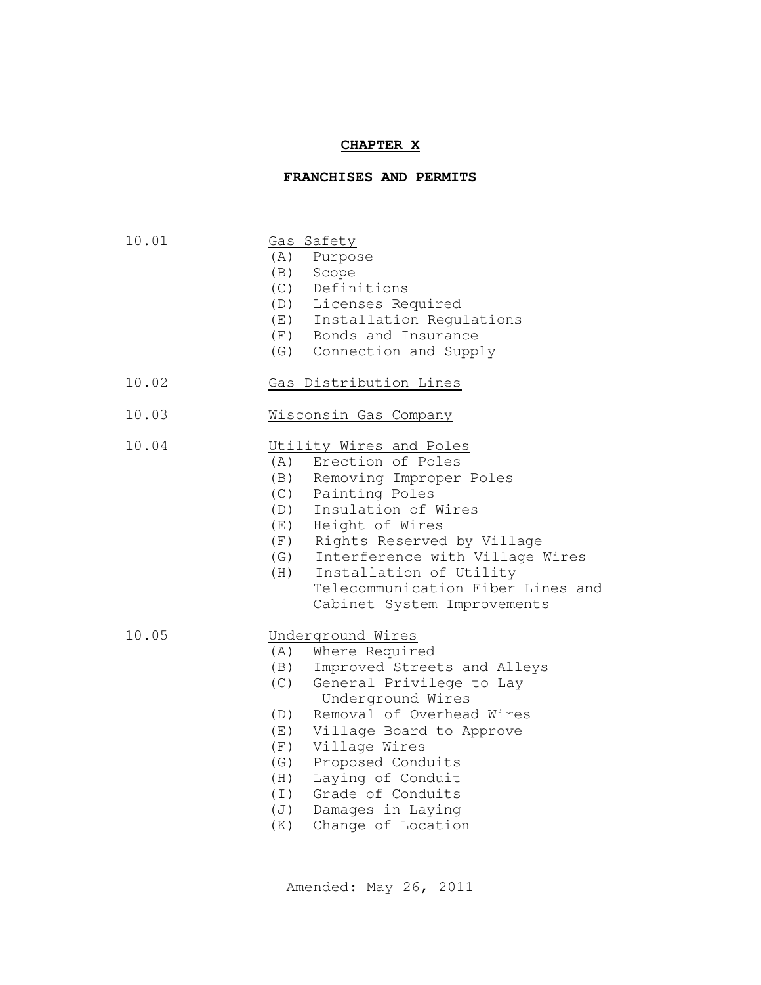#### **CHAPTER X**

### **FRANCHISES AND PERMITS**

- 10.01 Gas Safety
	- (A) Purpose
	- (B) Scope
	- (C) Definitions
	- (D) Licenses Required
	- (E) Installation Regulations
	- (F) Bonds and Insurance
	- (G) Connection and Supply
- 10.02 Gas Distribution Lines
- 10.03 Wisconsin Gas Company

## 10.04 Utility Wires and Poles

- (A) Erection of Poles
- (B) Removing Improper Poles
- (C) Painting Poles
- (D) Insulation of Wires
- (E) Height of Wires
- (F) Rights Reserved by Village
- (G) Interference with Village Wires
- (H) Installation of Utility Telecommunication Fiber Lines and Cabinet System Improvements

10.05 Underground Wires

- (A) Where Required
- (B) Improved Streets and Alleys
- (C) General Privilege to Lay Underground Wires
- (D) Removal of Overhead Wires
- (E) Village Board to Approve
- (F) Village Wires
- (G) Proposed Conduits
- (H) Laying of Conduit
- (I) Grade of Conduits
- (J) Damages in Laying
- (K) Change of Location

Amended: May 26, 2011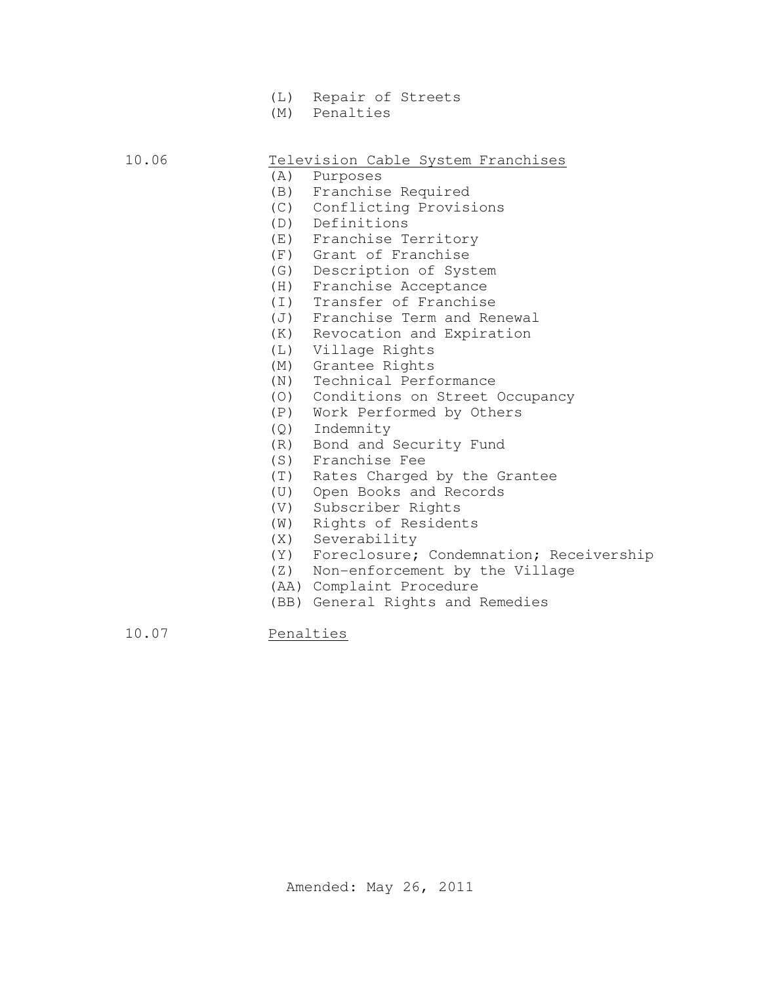- (L) Repair of Streets
- (M) Penalties

# Television Cable System Franchises

- (A) Purposes
- (B) Franchise Required
- (C) Conflicting Provisions
- (D) Definitions
- (E) Franchise Territory
- (F) Grant of Franchise
- (G) Description of System
- (H) Franchise Acceptance
- (I) Transfer of Franchise
- (J) Franchise Term and Renewal
- (K) Revocation and Expiration
- (L) Village Rights
- (M) Grantee Rights
- (N) Technical Performance
- (O) Conditions on Street Occupancy
- (P) Work Performed by Others
- (Q) Indemnity
- (R) Bond and Security Fund
- (S) Franchise Fee
- (T) Rates Charged by the Grantee
- (U) Open Books and Records
- (V) Subscriber Rights
- (W) Rights of Residents
- (X) Severability
- (Y) Foreclosure; Condemnation; Receivership
- (Z) Non-enforcement by the Village
	- (AA) Complaint Procedure
	- (BB) General Rights and Remedies

10.07 Penalties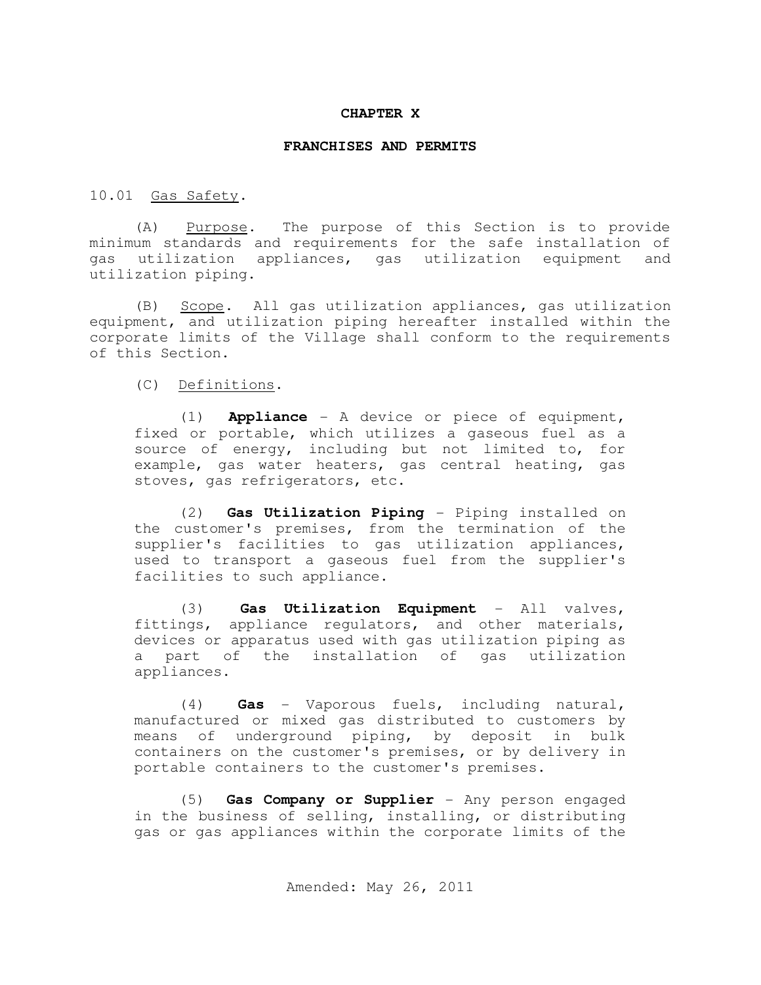#### **CHAPTER X**

#### **FRANCHISES AND PERMITS**

10.01 Gas Safety.

(A) Purpose. The purpose of this Section is to provide minimum standards and requirements for the safe installation of gas utilization appliances, gas utilization equipment and utilization piping.

(B) Scope. All gas utilization appliances, gas utilization equipment, and utilization piping hereafter installed within the corporate limits of the Village shall conform to the requirements of this Section.

(C) Definitions.

(1) **Appliance** - A device or piece of equipment, fixed or portable, which utilizes a gaseous fuel as a source of energy, including but not limited to, for example, gas water heaters, gas central heating, gas stoves, gas refrigerators, etc.

(2) **Gas Utilization Piping** - Piping installed on the customer's premises, from the termination of the supplier's facilities to gas utilization appliances, used to transport a gaseous fuel from the supplier's facilities to such appliance.

(3) **Gas Utilization Equipment** - All valves, fittings, appliance regulators, and other materials, devices or apparatus used with gas utilization piping as a part of the installation of gas utilization appliances.

(4) **Gas** - Vaporous fuels, including natural, manufactured or mixed gas distributed to customers by means of underground piping, by deposit in bulk containers on the customer's premises, or by delivery in portable containers to the customer's premises.

(5) **Gas Company or Supplier** - Any person engaged in the business of selling, installing, or distributing gas or gas appliances within the corporate limits of the

Amended: May 26, 2011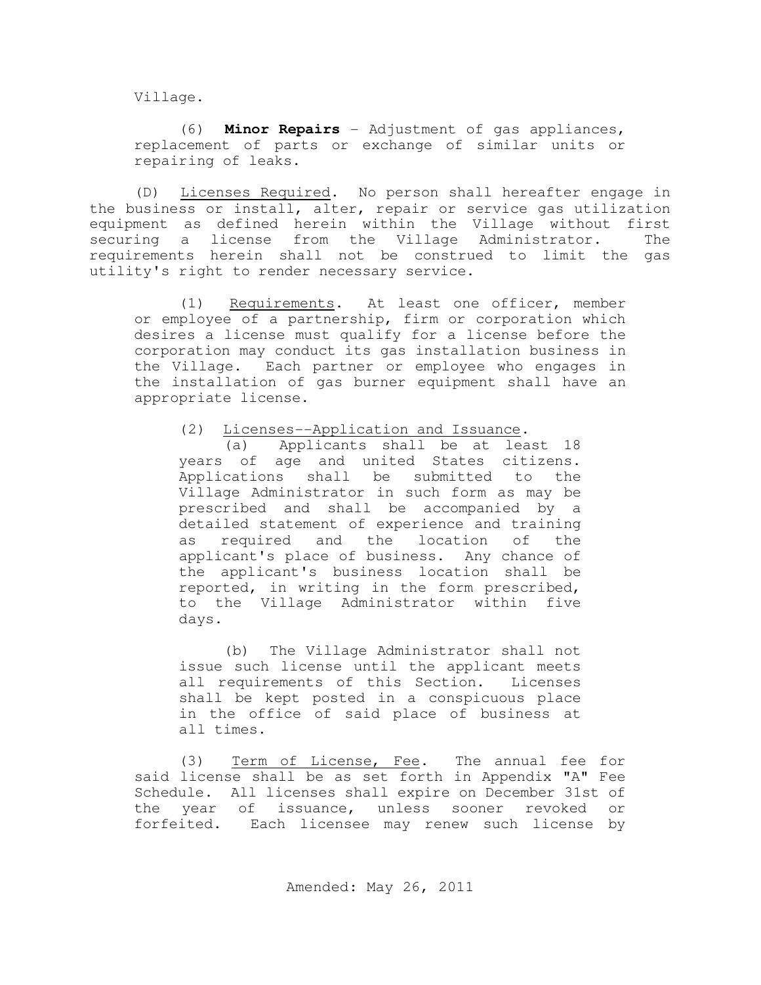Village.

(6) **Minor Repairs** - Adjustment of gas appliances, replacement of parts or exchange of similar units or repairing of leaks.

(D) Licenses Required. No person shall hereafter engage in the business or install, alter, repair or service gas utilization equipment as defined herein within the Village without first securing a license from the Village Administrator. The requirements herein shall not be construed to limit the gas utility's right to render necessary service.

(1) Requirements. At least one officer, member or employee of a partnership, firm or corporation which desires a license must qualify for a license before the corporation may conduct its gas installation business in the Village. Each partner or employee who engages in the installation of gas burner equipment shall have an appropriate license.

(2) Licenses--Application and Issuance.

(a) Applicants shall be at least 18 years of age and united States citizens. Applications shall be submitted to the Village Administrator in such form as may be prescribed and shall be accompanied by a detailed statement of experience and training as required and the location of the applicant's place of business. Any chance of the applicant's business location shall be reported, in writing in the form prescribed, to the Village Administrator within five days.

(b) The Village Administrator shall not issue such license until the applicant meets all requirements of this Section. Licenses shall be kept posted in a conspicuous place in the office of said place of business at all times.

(3) Term of License, Fee. The annual fee for said license shall be as set forth in Appendix "A" Fee Schedule. All licenses shall expire on December 31st of the year of issuance, unless sooner revoked or forfeited. Each licensee may renew such license by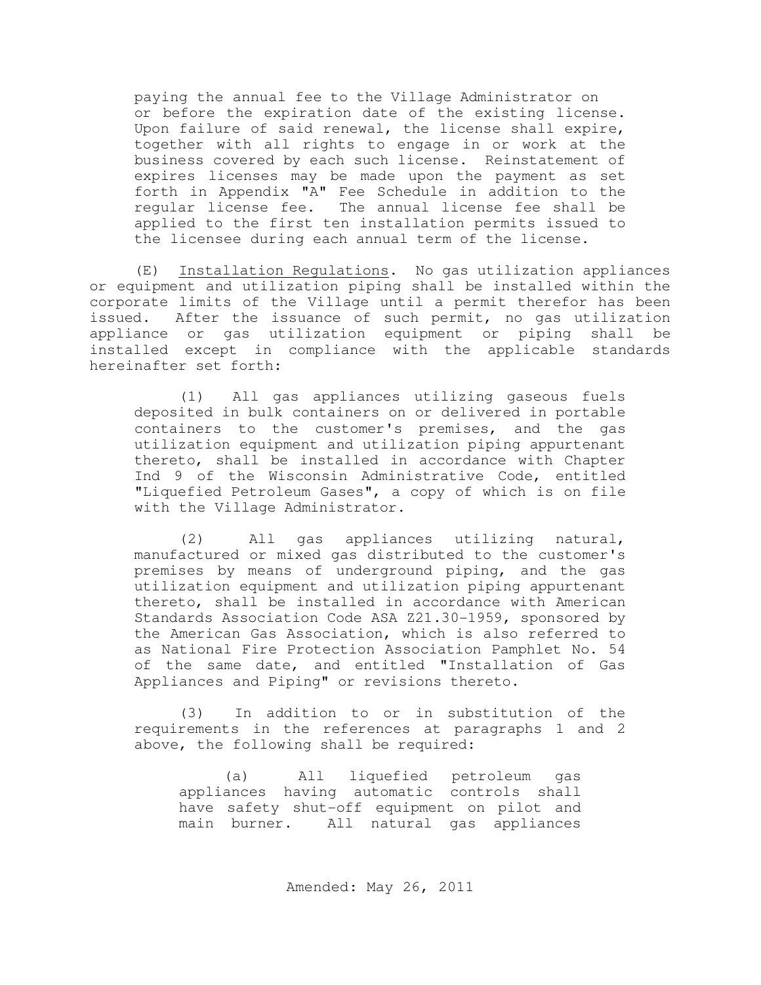paying the annual fee to the Village Administrator on or before the expiration date of the existing license. Upon failure of said renewal, the license shall expire, together with all rights to engage in or work at the business covered by each such license. Reinstatement of expires licenses may be made upon the payment as set forth in Appendix "A" Fee Schedule in addition to the regular license fee. The annual license fee shall be applied to the first ten installation permits issued to the licensee during each annual term of the license.

(E) Installation Regulations. No gas utilization appliances or equipment and utilization piping shall be installed within the corporate limits of the Village until a permit therefor has been issued. After the issuance of such permit, no gas utilization appliance or gas utilization equipment or piping shall be installed except in compliance with the applicable standards hereinafter set forth:

(1) All gas appliances utilizing gaseous fuels deposited in bulk containers on or delivered in portable containers to the customer's premises, and the gas utilization equipment and utilization piping appurtenant thereto, shall be installed in accordance with Chapter Ind 9 of the Wisconsin Administrative Code, entitled "Liquefied Petroleum Gases", a copy of which is on file with the Village Administrator.

(2) All gas appliances utilizing natural, manufactured or mixed gas distributed to the customer's premises by means of underground piping, and the gas utilization equipment and utilization piping appurtenant thereto, shall be installed in accordance with American Standards Association Code ASA Z21.30-1959, sponsored by the American Gas Association, which is also referred to as National Fire Protection Association Pamphlet No. 54 of the same date, and entitled "Installation of Gas Appliances and Piping" or revisions thereto.

(3) In addition to or in substitution of the requirements in the references at paragraphs 1 and 2 above, the following shall be required:

(a) All liquefied petroleum gas appliances having automatic controls shall have safety shut-off equipment on pilot and main burner. All natural gas appliances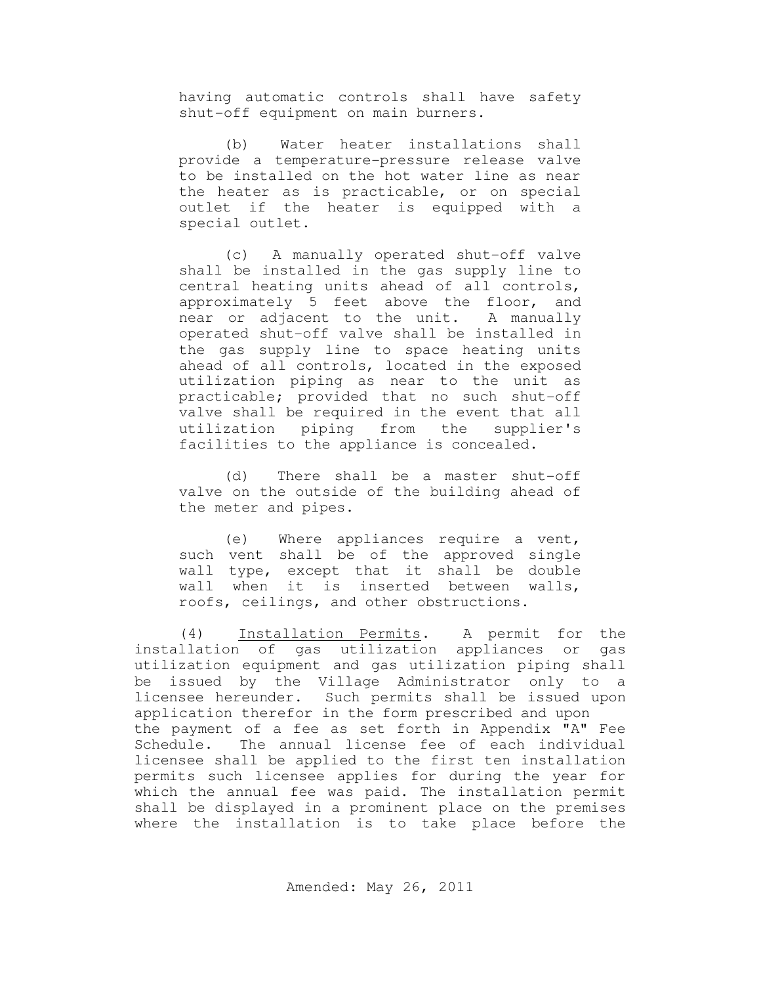having automatic controls shall have safety shut-off equipment on main burners.

(b) Water heater installations shall provide a temperature-pressure release valve to be installed on the hot water line as near the heater as is practicable, or on special outlet if the heater is equipped with a special outlet.

(c) A manually operated shut-off valve shall be installed in the gas supply line to central heating units ahead of all controls, approximately 5 feet above the floor, and near or adjacent to the unit. A manually operated shut-off valve shall be installed in the gas supply line to space heating units ahead of all controls, located in the exposed utilization piping as near to the unit as practicable; provided that no such shut-off valve shall be required in the event that all utilization piping from the supplier's facilities to the appliance is concealed.

(d) There shall be a master shut-off valve on the outside of the building ahead of the meter and pipes.

(e) Where appliances require a vent, such vent shall be of the approved single wall type, except that it shall be double wall when it is inserted between walls, roofs, ceilings, and other obstructions.

(4) Installation Permits. A permit for the installation of gas utilization appliances or gas utilization equipment and gas utilization piping shall be issued by the Village Administrator only to a licensee hereunder. Such permits shall be issued upon application therefor in the form prescribed and upon the payment of a fee as set forth in Appendix "A" Fee Schedule. The annual license fee of each individual licensee shall be applied to the first ten installation permits such licensee applies for during the year for which the annual fee was paid. The installation permit shall be displayed in a prominent place on the premises where the installation is to take place before the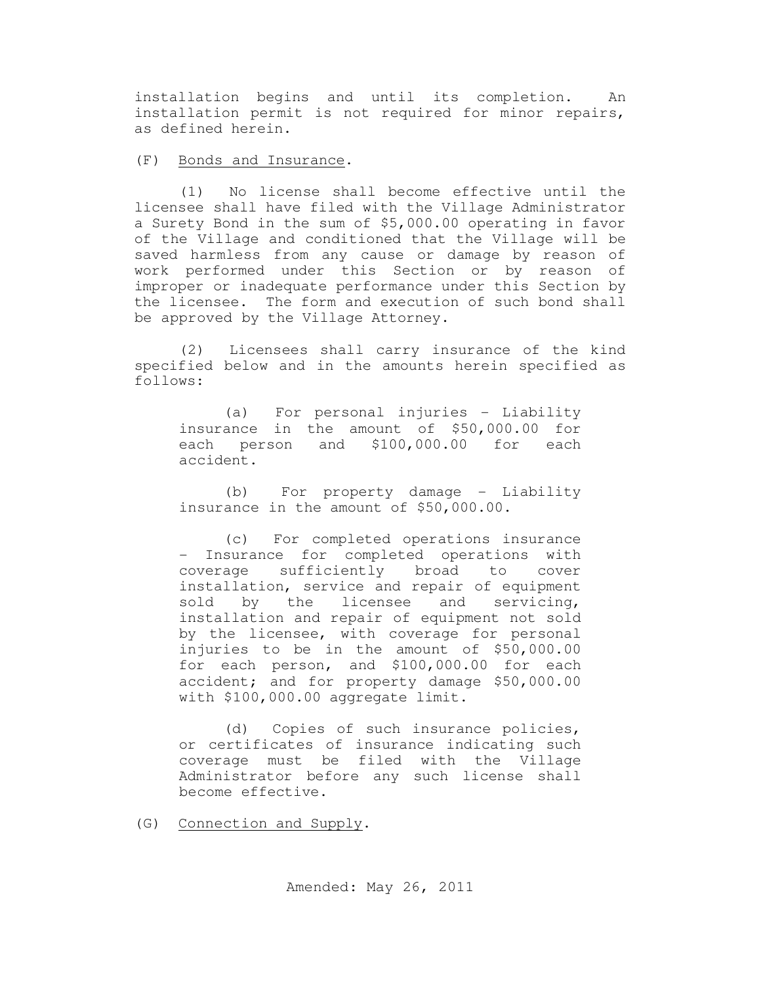installation begins and until its completion. An installation permit is not required for minor repairs, as defined herein.

### (F) Bonds and Insurance.

(1) No license shall become effective until the licensee shall have filed with the Village Administrator a Surety Bond in the sum of \$5,000.00 operating in favor of the Village and conditioned that the Village will be saved harmless from any cause or damage by reason of work performed under this Section or by reason of improper or inadequate performance under this Section by the licensee. The form and execution of such bond shall be approved by the Village Attorney.

(2) Licensees shall carry insurance of the kind specified below and in the amounts herein specified as follows:

(a) For personal injuries - Liability insurance in the amount of \$50,000.00 for each person and \$100,000.00 for each accident.

(b) For property damage - Liability insurance in the amount of \$50,000.00.

(c) For completed operations insurance - Insurance for completed operations with<br>coverage sufficiently broad to cover coverage sufficiently broad to cover installation, service and repair of equipment sold by the licensee and servicing, installation and repair of equipment not sold by the licensee, with coverage for personal injuries to be in the amount of \$50,000.00 for each person, and \$100,000.00 for each accident; and for property damage \$50,000.00 with \$100,000.00 aggregate limit.

(d) Copies of such insurance policies, or certificates of insurance indicating such coverage must be filed with the Village Administrator before any such license shall become effective.

(G) Connection and Supply.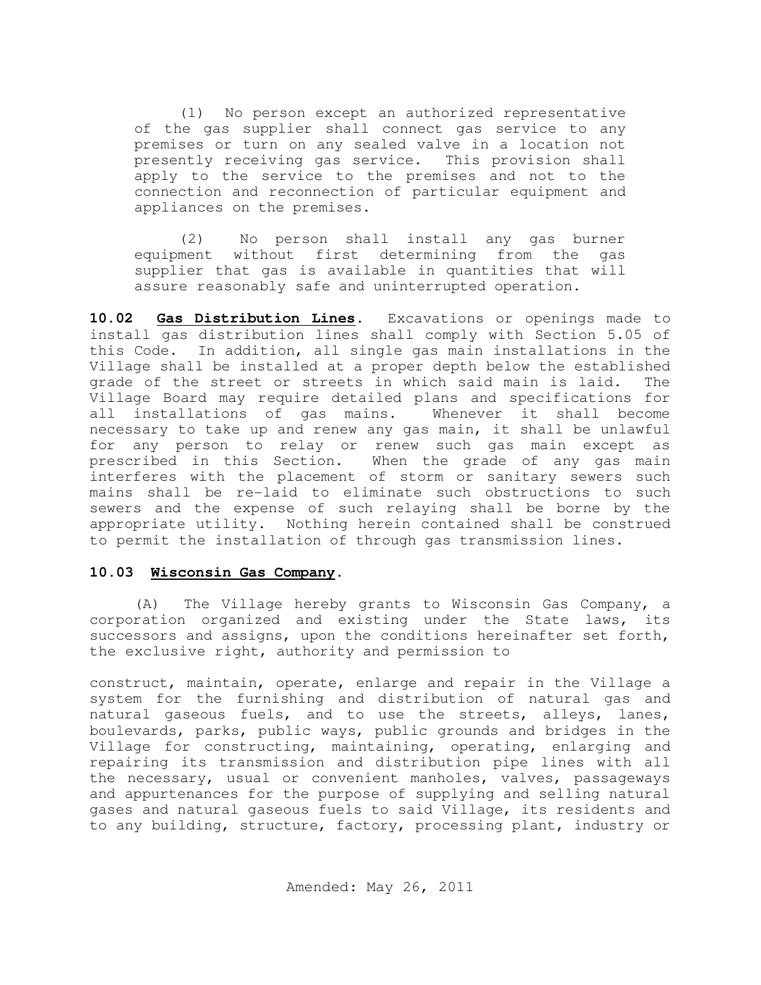(1) No person except an authorized representative of the gas supplier shall connect gas service to any premises or turn on any sealed valve in a location not presently receiving gas service. This provision shall apply to the service to the premises and not to the connection and reconnection of particular equipment and appliances on the premises.

(2) No person shall install any gas burner equipment without first determining from the gas supplier that gas is available in quantities that will assure reasonably safe and uninterrupted operation.

**10.02 Gas Distribution Lines.** Excavations or openings made to install gas distribution lines shall comply with Section 5.05 of this Code. In addition, all single gas main installations in the Village shall be installed at a proper depth below the established grade of the street or streets in which said main is laid. The Village Board may require detailed plans and specifications for all installations of gas mains. Whenever it shall become necessary to take up and renew any gas main, it shall be unlawful for any person to relay or renew such gas main except as prescribed in this Section. When the grade of any gas main interferes with the placement of storm or sanitary sewers such mains shall be re-laid to eliminate such obstructions to such sewers and the expense of such relaying shall be borne by the appropriate utility. Nothing herein contained shall be construed to permit the installation of through gas transmission lines.

### **10.03 Wisconsin Gas Company.**

(A) The Village hereby grants to Wisconsin Gas Company, a corporation organized and existing under the State laws, its successors and assigns, upon the conditions hereinafter set forth, the exclusive right, authority and permission to

construct, maintain, operate, enlarge and repair in the Village a system for the furnishing and distribution of natural gas and natural gaseous fuels, and to use the streets, alleys, lanes, boulevards, parks, public ways, public grounds and bridges in the Village for constructing, maintaining, operating, enlarging and repairing its transmission and distribution pipe lines with all the necessary, usual or convenient manholes, valves, passageways and appurtenances for the purpose of supplying and selling natural gases and natural gaseous fuels to said Village, its residents and to any building, structure, factory, processing plant, industry or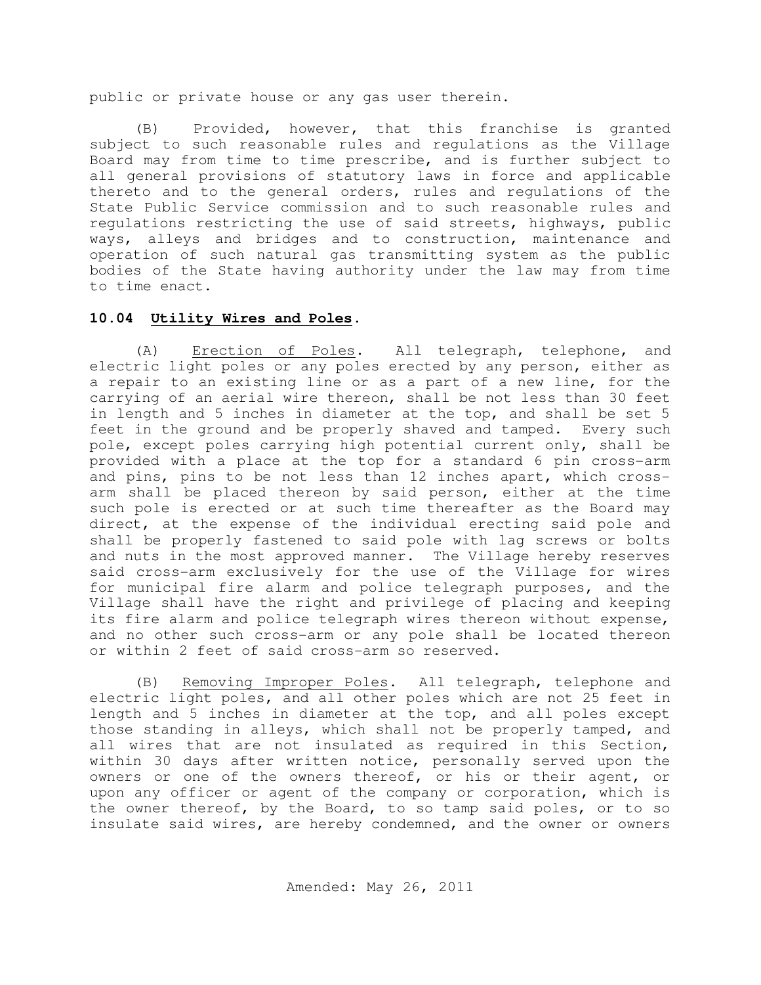public or private house or any gas user therein.

(B) Provided, however, that this franchise is granted subject to such reasonable rules and regulations as the Village Board may from time to time prescribe, and is further subject to all general provisions of statutory laws in force and applicable thereto and to the general orders, rules and regulations of the State Public Service commission and to such reasonable rules and regulations restricting the use of said streets, highways, public ways, alleys and bridges and to construction, maintenance and operation of such natural gas transmitting system as the public bodies of the State having authority under the law may from time to time enact.

### **10.04 Utility Wires and Poles.**

(A) Erection of Poles. All telegraph, telephone, and electric light poles or any poles erected by any person, either as a repair to an existing line or as a part of a new line, for the carrying of an aerial wire thereon, shall be not less than 30 feet in length and 5 inches in diameter at the top, and shall be set 5 feet in the ground and be properly shaved and tamped. Every such pole, except poles carrying high potential current only, shall be provided with a place at the top for a standard 6 pin cross-arm and pins, pins to be not less than 12 inches apart, which crossarm shall be placed thereon by said person, either at the time such pole is erected or at such time thereafter as the Board may direct, at the expense of the individual erecting said pole and shall be properly fastened to said pole with lag screws or bolts and nuts in the most approved manner. The Village hereby reserves said cross-arm exclusively for the use of the Village for wires for municipal fire alarm and police telegraph purposes, and the Village shall have the right and privilege of placing and keeping its fire alarm and police telegraph wires thereon without expense, and no other such cross-arm or any pole shall be located thereon or within 2 feet of said cross-arm so reserved.

(B) Removing Improper Poles. All telegraph, telephone and electric light poles, and all other poles which are not 25 feet in length and 5 inches in diameter at the top, and all poles except those standing in alleys, which shall not be properly tamped, and all wires that are not insulated as required in this Section, within 30 days after written notice, personally served upon the owners or one of the owners thereof, or his or their agent, or upon any officer or agent of the company or corporation, which is the owner thereof, by the Board, to so tamp said poles, or to so insulate said wires, are hereby condemned, and the owner or owners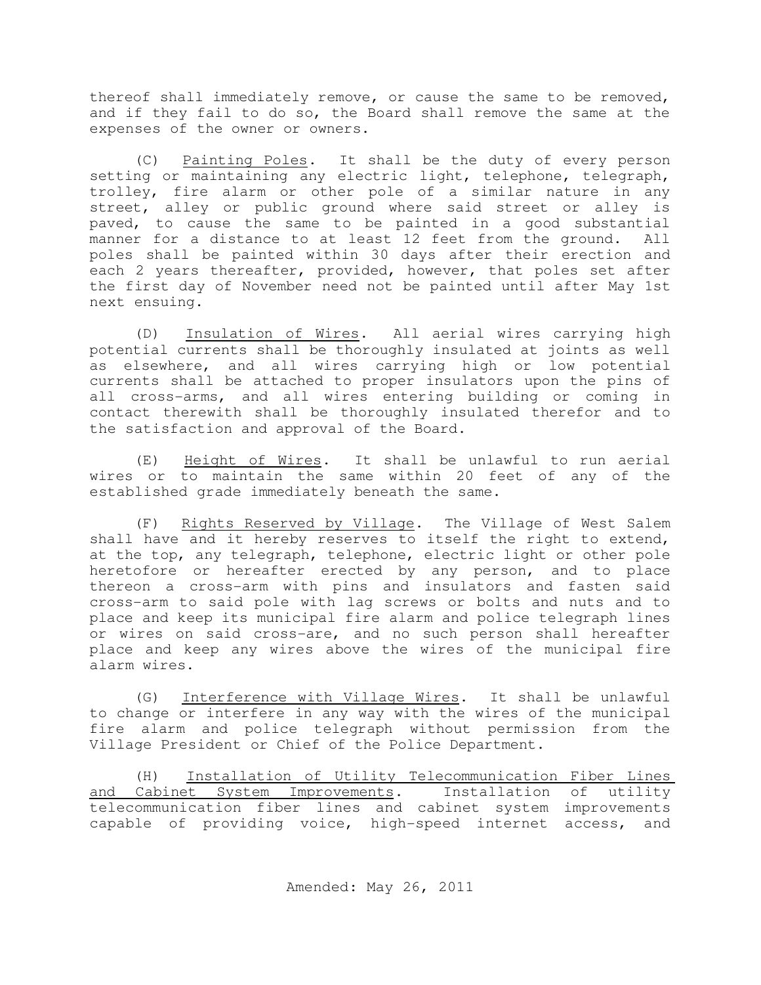thereof shall immediately remove, or cause the same to be removed, and if they fail to do so, the Board shall remove the same at the expenses of the owner or owners.

(C) Painting Poles. It shall be the duty of every person setting or maintaining any electric light, telephone, telegraph, trolley, fire alarm or other pole of a similar nature in any street, alley or public ground where said street or alley is paved, to cause the same to be painted in a good substantial manner for a distance to at least 12 feet from the ground. All poles shall be painted within 30 days after their erection and each 2 years thereafter, provided, however, that poles set after the first day of November need not be painted until after May 1st next ensuing.

(D) Insulation of Wires. All aerial wires carrying high potential currents shall be thoroughly insulated at joints as well as elsewhere, and all wires carrying high or low potential currents shall be attached to proper insulators upon the pins of all cross-arms, and all wires entering building or coming in contact therewith shall be thoroughly insulated therefor and to the satisfaction and approval of the Board.

(E) Height of Wires. It shall be unlawful to run aerial wires or to maintain the same within 20 feet of any of the established grade immediately beneath the same.

(F) Rights Reserved by Village. The Village of West Salem shall have and it hereby reserves to itself the right to extend, at the top, any telegraph, telephone, electric light or other pole heretofore or hereafter erected by any person, and to place thereon a cross-arm with pins and insulators and fasten said cross-arm to said pole with lag screws or bolts and nuts and to place and keep its municipal fire alarm and police telegraph lines or wires on said cross-are, and no such person shall hereafter place and keep any wires above the wires of the municipal fire alarm wires.

(G) Interference with Village Wires. It shall be unlawful to change or interfere in any way with the wires of the municipal fire alarm and police telegraph without permission from the Village President or Chief of the Police Department.

(H) Installation of Utility Telecommunication Fiber Lines and Cabinet System Improvements. Installation of utility telecommunication fiber lines and cabinet system improvements capable of providing voice, high-speed internet access, and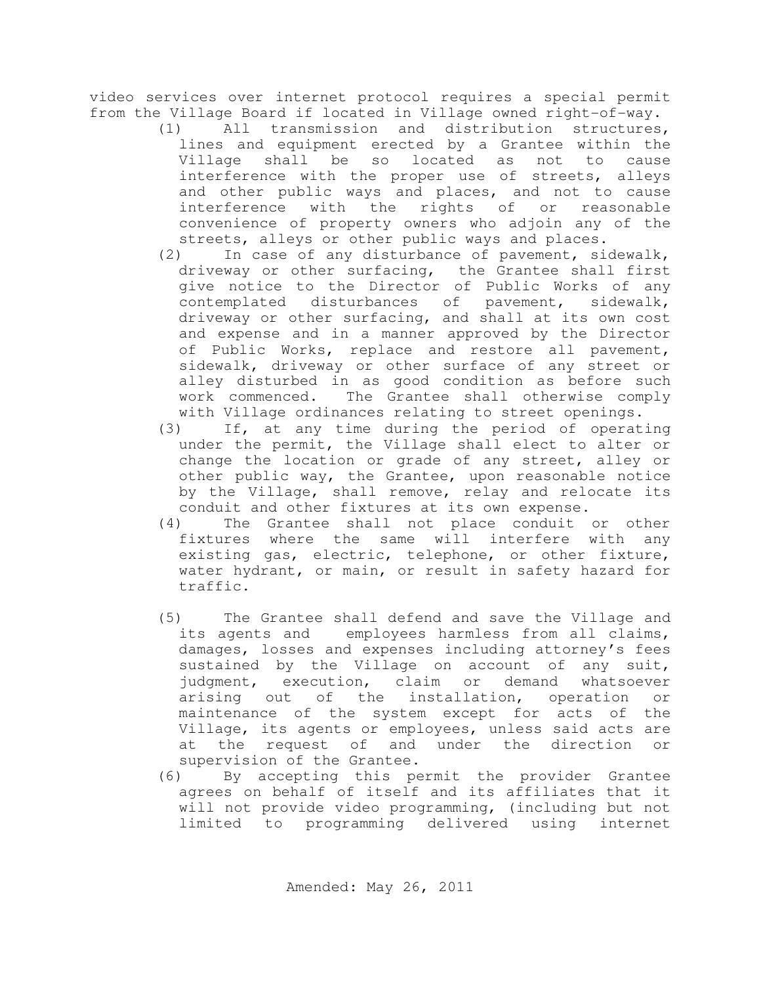video services over internet protocol requires a special permit from the Village Board if located in Village owned right-of-way.

- (1) All transmission and distribution structures, lines and equipment erected by a Grantee within the Village shall be so located as not to cause interference with the proper use of streets, alleys and other public ways and places, and not to cause interference with the rights of or reasonable convenience of property owners who adjoin any of the streets, alleys or other public ways and places.
- (2) In case of any disturbance of pavement, sidewalk, driveway or other surfacing, the Grantee shall first give notice to the Director of Public Works of any contemplated disturbances of pavement, sidewalk, driveway or other surfacing, and shall at its own cost and expense and in a manner approved by the Director of Public Works, replace and restore all pavement, sidewalk, driveway or other surface of any street or alley disturbed in as good condition as before such work commenced. The Grantee shall otherwise comply with Village ordinances relating to street openings.
- (3) If, at any time during the period of operating under the permit, the Village shall elect to alter or change the location or grade of any street, alley or other public way, the Grantee, upon reasonable notice by the Village, shall remove, relay and relocate its conduit and other fixtures at its own expense.
- (4) The Grantee shall not place conduit or other fixtures where the same will interfere with any existing gas, electric, telephone, or other fixture, water hydrant, or main, or result in safety hazard for traffic.
- (5) The Grantee shall defend and save the Village and its agents and employees harmless from all claims, damages, losses and expenses including attorney's fees sustained by the Village on account of any suit, judgment, execution, claim or demand whatsoever arising out of the installation, operation or maintenance of the system except for acts of the Village, its agents or employees, unless said acts are at the request of and under the direction or supervision of the Grantee.
- (6) By accepting this permit the provider Grantee agrees on behalf of itself and its affiliates that it will not provide video programming, (including but not limited to programming delivered using internet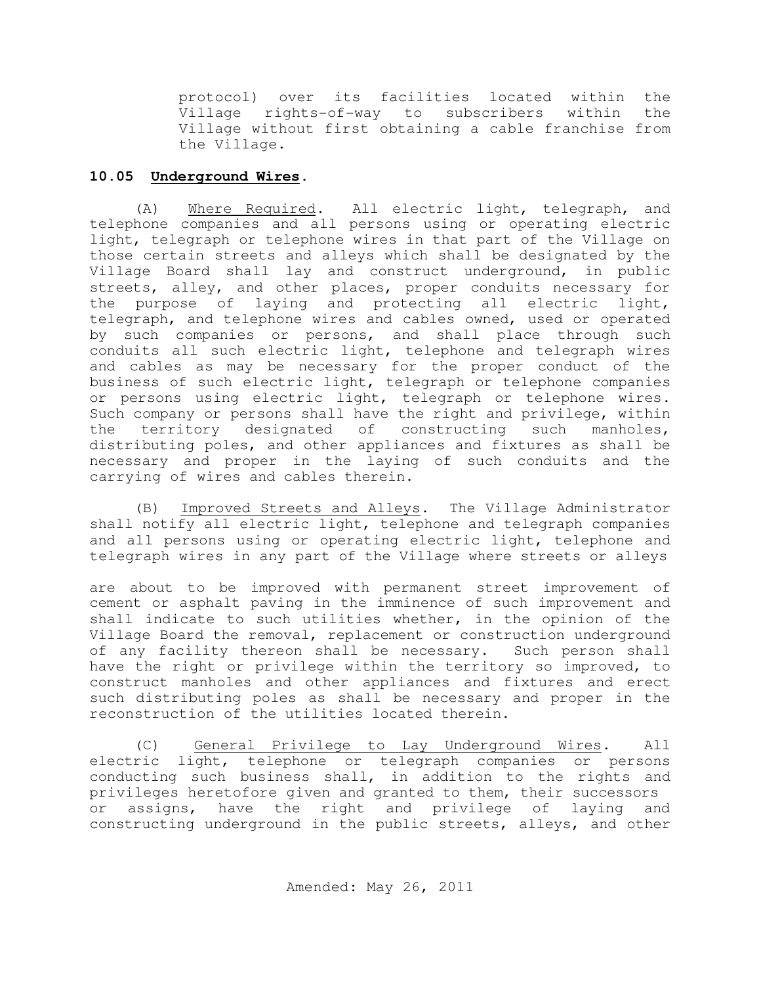protocol) over its facilities located within the Village rights-of-way to subscribers within the Village without first obtaining a cable franchise from the Village.

# **10.05 Underground Wires.**

(A) Where Required. All electric light, telegraph, and telephone companies and all persons using or operating electric light, telegraph or telephone wires in that part of the Village on those certain streets and alleys which shall be designated by the Village Board shall lay and construct underground, in public streets, alley, and other places, proper conduits necessary for the purpose of laying and protecting all electric light, telegraph, and telephone wires and cables owned, used or operated by such companies or persons, and shall place through such conduits all such electric light, telephone and telegraph wires and cables as may be necessary for the proper conduct of the business of such electric light, telegraph or telephone companies or persons using electric light, telegraph or telephone wires. Such company or persons shall have the right and privilege, within the territory designated of constructing such manholes, distributing poles, and other appliances and fixtures as shall be necessary and proper in the laying of such conduits and the carrying of wires and cables therein.

(B) Improved Streets and Alleys. The Village Administrator shall notify all electric light, telephone and telegraph companies and all persons using or operating electric light, telephone and telegraph wires in any part of the Village where streets or alleys

are about to be improved with permanent street improvement of cement or asphalt paving in the imminence of such improvement and shall indicate to such utilities whether, in the opinion of the Village Board the removal, replacement or construction underground of any facility thereon shall be necessary. Such person shall have the right or privilege within the territory so improved, to construct manholes and other appliances and fixtures and erect such distributing poles as shall be necessary and proper in the reconstruction of the utilities located therein.

(C) General Privilege to Lay Underground Wires. All electric light, telephone or telegraph companies or persons conducting such business shall, in addition to the rights and privileges heretofore given and granted to them, their successors or assigns, have the right and privilege of laying and constructing underground in the public streets, alleys, and other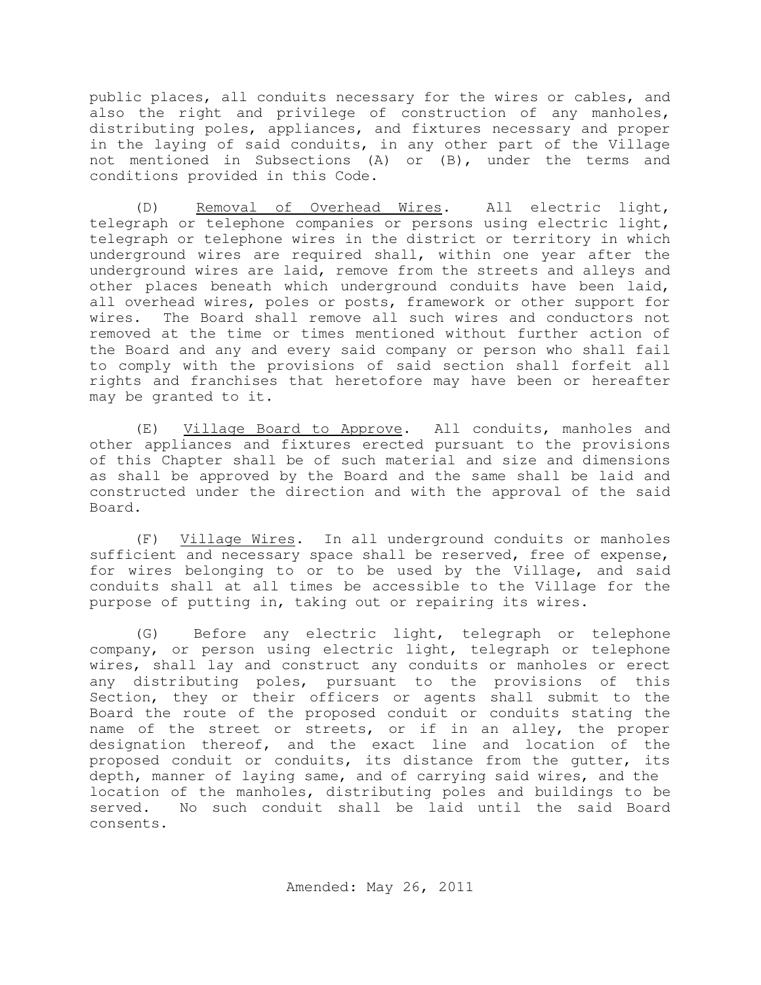public places, all conduits necessary for the wires or cables, and also the right and privilege of construction of any manholes, distributing poles, appliances, and fixtures necessary and proper in the laying of said conduits, in any other part of the Village not mentioned in Subsections (A) or (B), under the terms and conditions provided in this Code.

(D) Removal of Overhead Wires. All electric light, telegraph or telephone companies or persons using electric light, telegraph or telephone wires in the district or territory in which underground wires are required shall, within one year after the underground wires are laid, remove from the streets and alleys and other places beneath which underground conduits have been laid, all overhead wires, poles or posts, framework or other support for wires. The Board shall remove all such wires and conductors not removed at the time or times mentioned without further action of the Board and any and every said company or person who shall fail to comply with the provisions of said section shall forfeit all rights and franchises that heretofore may have been or hereafter may be granted to it.

(E) Village Board to Approve. All conduits, manholes and other appliances and fixtures erected pursuant to the provisions of this Chapter shall be of such material and size and dimensions as shall be approved by the Board and the same shall be laid and constructed under the direction and with the approval of the said Board.

(F) Village Wires. In all underground conduits or manholes sufficient and necessary space shall be reserved, free of expense, for wires belonging to or to be used by the Village, and said conduits shall at all times be accessible to the Village for the purpose of putting in, taking out or repairing its wires.

(G) Before any electric light, telegraph or telephone company, or person using electric light, telegraph or telephone wires, shall lay and construct any conduits or manholes or erect any distributing poles, pursuant to the provisions of this Section, they or their officers or agents shall submit to the Board the route of the proposed conduit or conduits stating the name of the street or streets, or if in an alley, the proper designation thereof, and the exact line and location of the proposed conduit or conduits, its distance from the gutter, its depth, manner of laying same, and of carrying said wires, and the location of the manholes, distributing poles and buildings to be served. No such conduit shall be laid until the said Board consents.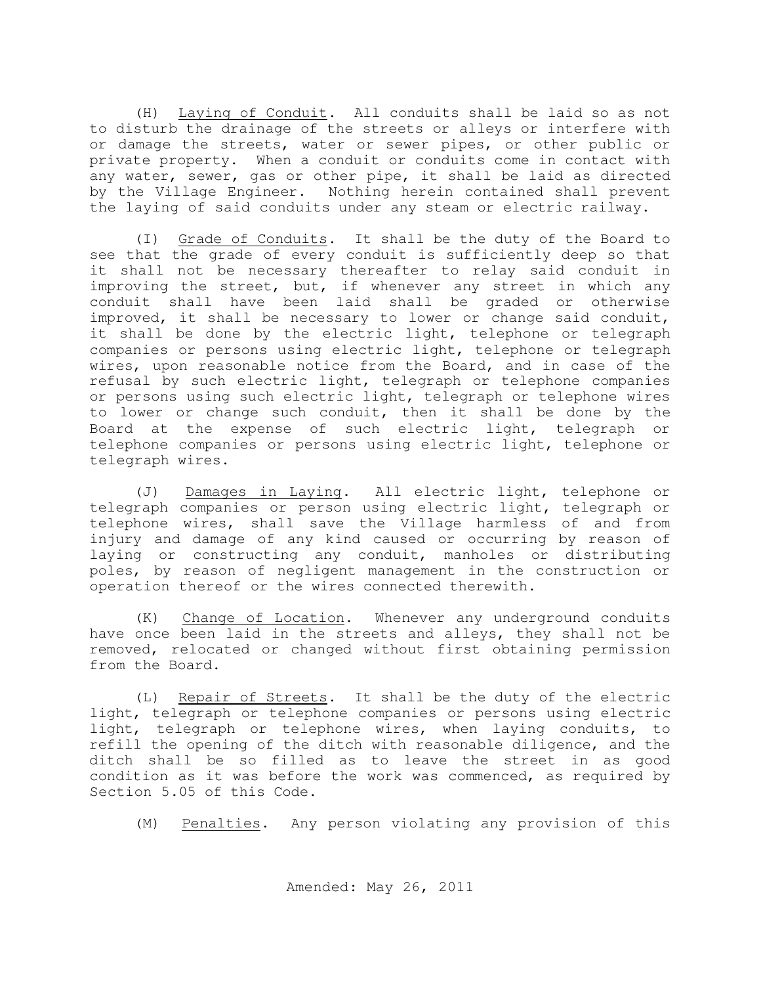(H) Laying of Conduit. All conduits shall be laid so as not to disturb the drainage of the streets or alleys or interfere with or damage the streets, water or sewer pipes, or other public or private property. When a conduit or conduits come in contact with any water, sewer, gas or other pipe, it shall be laid as directed by the Village Engineer. Nothing herein contained shall prevent the laying of said conduits under any steam or electric railway.

(I) Grade of Conduits. It shall be the duty of the Board to see that the grade of every conduit is sufficiently deep so that it shall not be necessary thereafter to relay said conduit in improving the street, but, if whenever any street in which any conduit shall have been laid shall be graded or otherwise improved, it shall be necessary to lower or change said conduit, it shall be done by the electric light, telephone or telegraph companies or persons using electric light, telephone or telegraph wires, upon reasonable notice from the Board, and in case of the refusal by such electric light, telegraph or telephone companies or persons using such electric light, telegraph or telephone wires to lower or change such conduit, then it shall be done by the Board at the expense of such electric light, telegraph or telephone companies or persons using electric light, telephone or telegraph wires.

(J) Damages in Laying. All electric light, telephone or telegraph companies or person using electric light, telegraph or telephone wires, shall save the Village harmless of and from injury and damage of any kind caused or occurring by reason of laying or constructing any conduit, manholes or distributing poles, by reason of negligent management in the construction or operation thereof or the wires connected therewith.

(K) Change of Location. Whenever any underground conduits have once been laid in the streets and alleys, they shall not be removed, relocated or changed without first obtaining permission from the Board.

(L) Repair of Streets. It shall be the duty of the electric light, telegraph or telephone companies or persons using electric light, telegraph or telephone wires, when laying conduits, to refill the opening of the ditch with reasonable diligence, and the ditch shall be so filled as to leave the street in as good condition as it was before the work was commenced, as required by Section 5.05 of this Code.

(M) Penalties. Any person violating any provision of this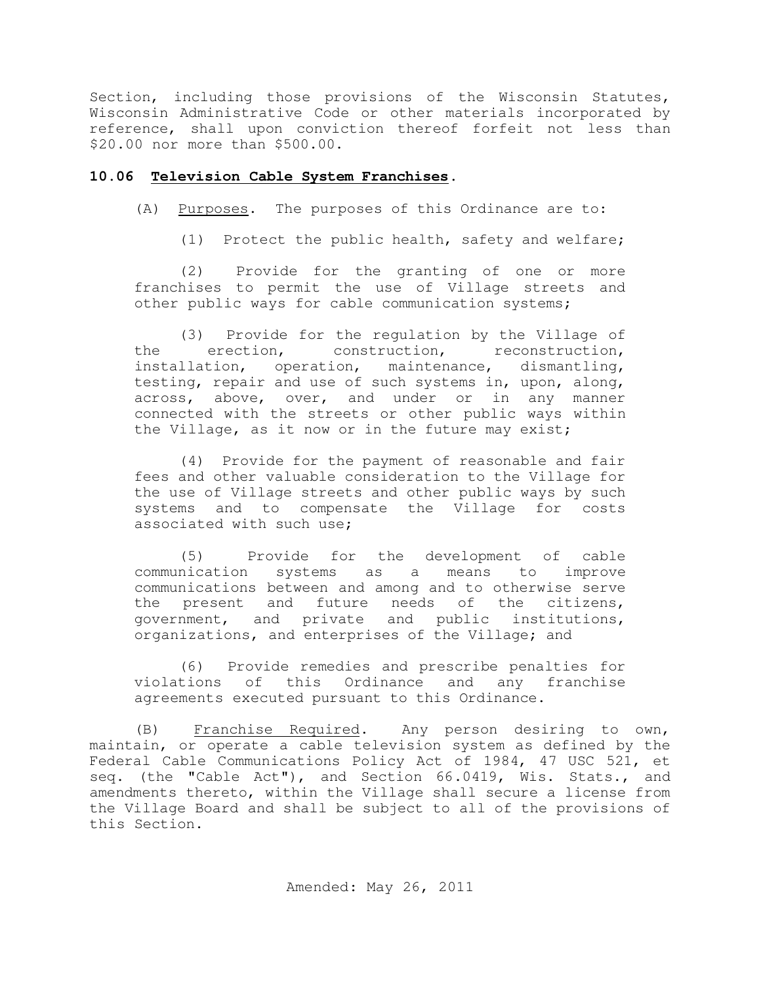Section, including those provisions of the Wisconsin Statutes, Wisconsin Administrative Code or other materials incorporated by reference, shall upon conviction thereof forfeit not less than \$20.00 nor more than \$500.00.

### **10.06 Television Cable System Franchises.**

(A) Purposes. The purposes of this Ordinance are to:

(1) Protect the public health, safety and welfare;

(2) Provide for the granting of one or more franchises to permit the use of Village streets and other public ways for cable communication systems;

(3) Provide for the regulation by the Village of the erection, construction, reconstruction, installation, operation, maintenance, dismantling, testing, repair and use of such systems in, upon, along, across, above, over, and under or in any manner connected with the streets or other public ways within the Village, as it now or in the future may exist;

(4) Provide for the payment of reasonable and fair fees and other valuable consideration to the Village for the use of Village streets and other public ways by such systems and to compensate the Village for costs associated with such use;

(5) Provide for the development of cable communication systems as a means to improve communications between and among and to otherwise serve the present and future needs of the citizens, government, and private and public institutions, organizations, and enterprises of the Village; and

(6) Provide remedies and prescribe penalties for violations of this Ordinance and any franchise agreements executed pursuant to this Ordinance.

(B) Franchise Required. Any person desiring to own, maintain, or operate a cable television system as defined by the Federal Cable Communications Policy Act of 1984, 47 USC 521, et seq. (the "Cable Act"), and Section 66.0419, Wis. Stats., and amendments thereto, within the Village shall secure a license from the Village Board and shall be subject to all of the provisions of this Section.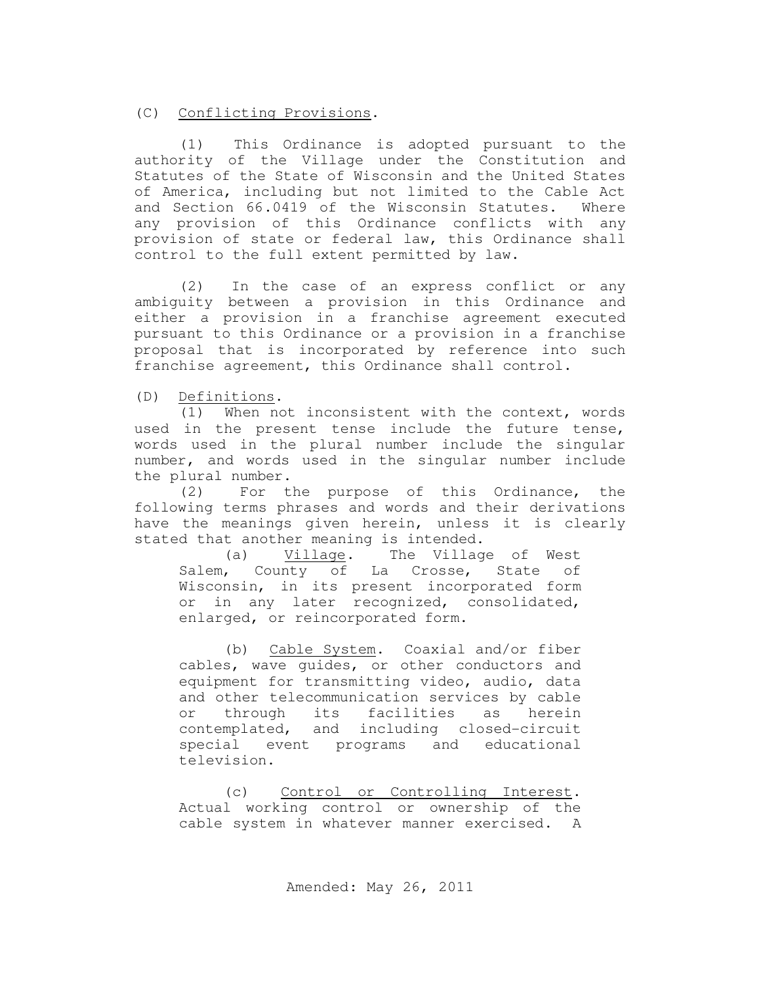(C) Conflicting Provisions.

(1) This Ordinance is adopted pursuant to the authority of the Village under the Constitution and Statutes of the State of Wisconsin and the United States of America, including but not limited to the Cable Act and Section 66.0419 of the Wisconsin Statutes. Where any provision of this Ordinance conflicts with any provision of state or federal law, this Ordinance shall control to the full extent permitted by law.

(2) In the case of an express conflict or any ambiguity between a provision in this Ordinance and either a provision in a franchise agreement executed pursuant to this Ordinance or a provision in a franchise proposal that is incorporated by reference into such franchise agreement, this Ordinance shall control.

(D) Definitions.

(1) When not inconsistent with the context, words used in the present tense include the future tense, words used in the plural number include the singular number, and words used in the singular number include the plural number.

(2) For the purpose of this Ordinance, the following terms phrases and words and their derivations have the meanings given herein, unless it is clearly stated that another meaning is intended.

(a) Village. The Village of West Salem,  $Country$  of La Crosse, State of Wisconsin, in its present incorporated form or in any later recognized, consolidated, enlarged, or reincorporated form.

(b) Cable System. Coaxial and/or fiber cables, wave guides, or other conductors and equipment for transmitting video, audio, data and other telecommunication services by cable or through its facilities as herein contemplated, and including closed-circuit special event programs and educational television.

(c) Control or Controlling Interest. Actual working control or ownership of the cable system in whatever manner exercised. A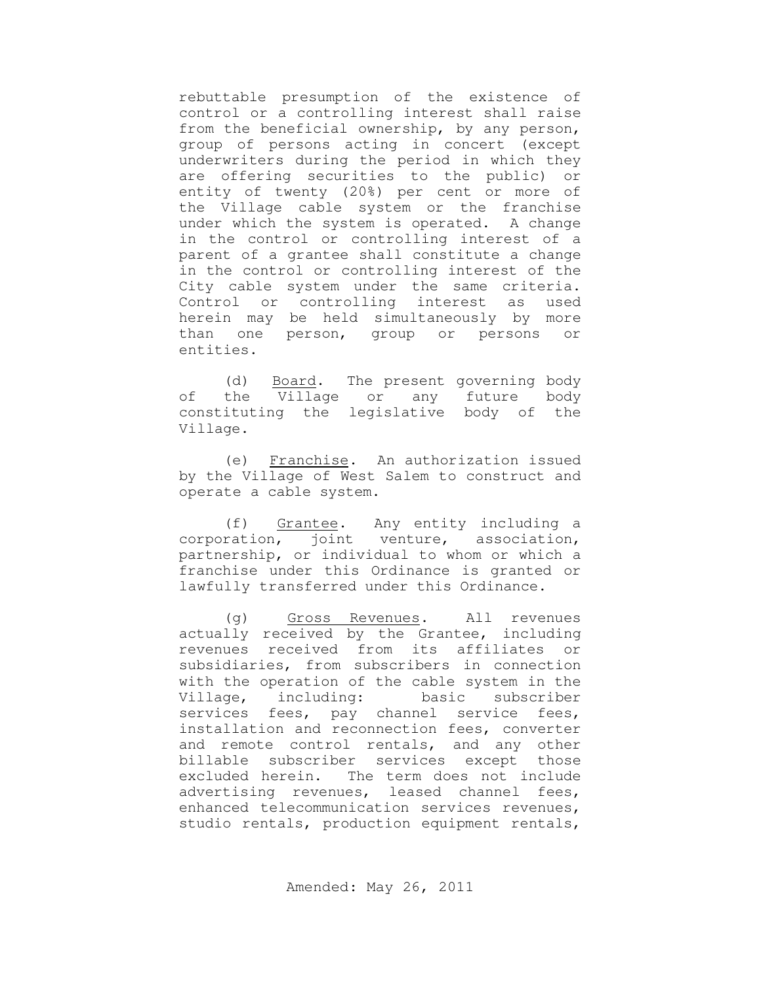rebuttable presumption of the existence of control or a controlling interest shall raise from the beneficial ownership, by any person, group of persons acting in concert (except underwriters during the period in which they are offering securities to the public) or entity of twenty (20%) per cent or more of the Village cable system or the franchise under which the system is operated. A change in the control or controlling interest of a parent of a grantee shall constitute a change in the control or controlling interest of the City cable system under the same criteria. Control or controlling interest as used herein may be held simultaneously by more than one person, group or persons or entities.

(d) Board. The present governing body of the Village or any future body constituting the legislative body of the Village.

(e) Franchise. An authorization issued by the Village of West Salem to construct and operate a cable system.

(f) Grantee. Any entity including a corporation, joint venture, association, partnership, or individual to whom or which a franchise under this Ordinance is granted or lawfully transferred under this Ordinance.

(g) Gross Revenues. All revenues actually received by the Grantee, including revenues received from its affiliates or subsidiaries, from subscribers in connection with the operation of the cable system in the Village, including: basic subscriber services fees, pay channel service fees, installation and reconnection fees, converter and remote control rentals, and any other billable subscriber services except those excluded herein. The term does not include advertising revenues, leased channel fees, enhanced telecommunication services revenues, studio rentals, production equipment rentals,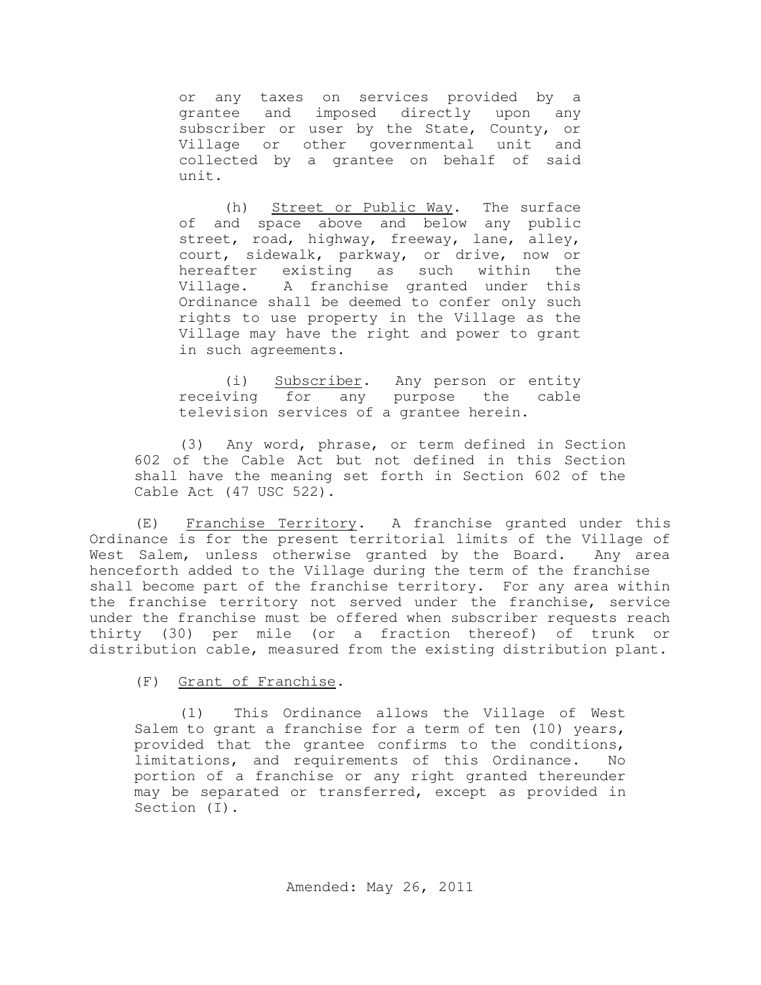or any taxes on services provided by a grantee and imposed directly upon any subscriber or user by the State, County, or Village or other governmental unit and collected by a grantee on behalf of said unit.

(h) Street or Public Way. The surface of and space above and below any public street, road, highway, freeway, lane, alley, court, sidewalk, parkway, or drive, now or hereafter existing as such within the Village. A franchise granted under this Ordinance shall be deemed to confer only such rights to use property in the Village as the Village may have the right and power to grant in such agreements.

(i) Subscriber. Any person or entity receiving for any purpose the cable television services of a grantee herein.

(3) Any word, phrase, or term defined in Section 602 of the Cable Act but not defined in this Section shall have the meaning set forth in Section 602 of the Cable Act (47 USC 522).

(E) Franchise Territory. A franchise granted under this Ordinance is for the present territorial limits of the Village of West Salem, unless otherwise granted by the Board. Any area henceforth added to the Village during the term of the franchise shall become part of the franchise territory. For any area within the franchise territory not served under the franchise, service under the franchise must be offered when subscriber requests reach thirty (30) per mile (or a fraction thereof) of trunk or distribution cable, measured from the existing distribution plant.

(F) Grant of Franchise.

(1) This Ordinance allows the Village of West Salem to grant a franchise for a term of ten (10) years, provided that the grantee confirms to the conditions, limitations, and requirements of this Ordinance. No portion of a franchise or any right granted thereunder may be separated or transferred, except as provided in Section (I).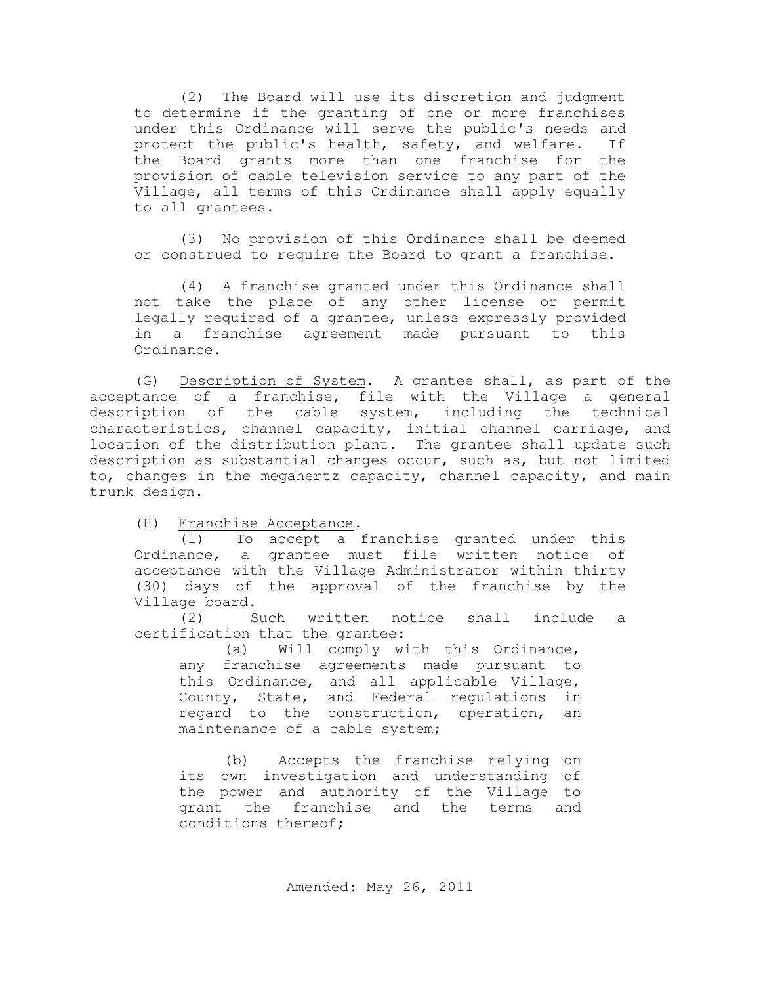(2) The Board will use its discretion and judgment to determine if the granting of one or more franchises under this Ordinance will serve the public's needs and protect the public's health, safety, and welfare. If the Board grants more than one franchise for the provision of cable television service to any part of the Village, all terms of this Ordinance shall apply equally to all grantees.

(3) No provision of this Ordinance shall be deemed or construed to require the Board to grant a franchise.

(4) A franchise granted under this Ordinance shall not take the place of any other license or permit legally required of a grantee, unless expressly provided in a franchise agreement made pursuant to this Ordinance.

(G) Description of System. A grantee shall, as part of the acceptance of a franchise, file with the Village a general description of the cable system, including the technical characteristics, channel capacity, initial channel carriage, and location of the distribution plant. The grantee shall update such description as substantial changes occur, such as, but not limited to, changes in the megahertz capacity, channel capacity, and main trunk design.

(H) Franchise Acceptance.

(1) To accept a franchise granted under this Ordinance, a grantee must file written notice of acceptance with the Village Administrator within thirty (30) days of the approval of the franchise by the Village board.

(2) Such written notice shall include a certification that the grantee:

(a) Will comply with this Ordinance, any franchise agreements made pursuant to this Ordinance, and all applicable Village, County, State, and Federal regulations in regard to the construction, operation, an maintenance of a cable system;

(b) Accepts the franchise relying on its own investigation and understanding of the power and authority of the Village to grant the franchise and the terms and conditions thereof;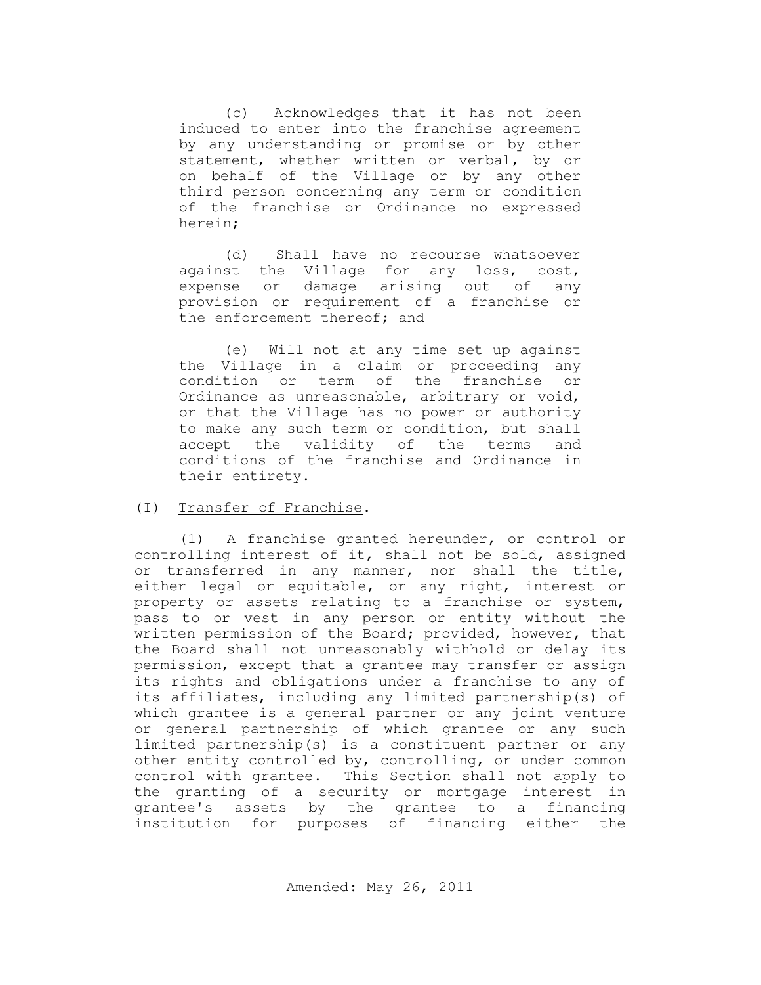(c) Acknowledges that it has not been induced to enter into the franchise agreement by any understanding or promise or by other statement, whether written or verbal, by or on behalf of the Village or by any other third person concerning any term or condition of the franchise or Ordinance no expressed herein;

(d) Shall have no recourse whatsoever against the Village for any loss, cost, expense or damage arising out of any provision or requirement of a franchise or the enforcement thereof; and

(e) Will not at any time set up against the Village in a claim or proceeding any condition or term of the franchise or Ordinance as unreasonable, arbitrary or void, or that the Village has no power or authority to make any such term or condition, but shall accept the validity of the terms and conditions of the franchise and Ordinance in their entirety.

#### (I) Transfer of Franchise.

(1) A franchise granted hereunder, or control or controlling interest of it, shall not be sold, assigned or transferred in any manner, nor shall the title, either legal or equitable, or any right, interest or property or assets relating to a franchise or system, pass to or vest in any person or entity without the written permission of the Board; provided, however, that the Board shall not unreasonably withhold or delay its permission, except that a grantee may transfer or assign its rights and obligations under a franchise to any of its affiliates, including any limited partnership(s) of which grantee is a general partner or any joint venture or general partnership of which grantee or any such limited partnership(s) is a constituent partner or any other entity controlled by, controlling, or under common control with grantee. This Section shall not apply to the granting of a security or mortgage interest in grantee's assets by the grantee to a financing institution for purposes of financing either the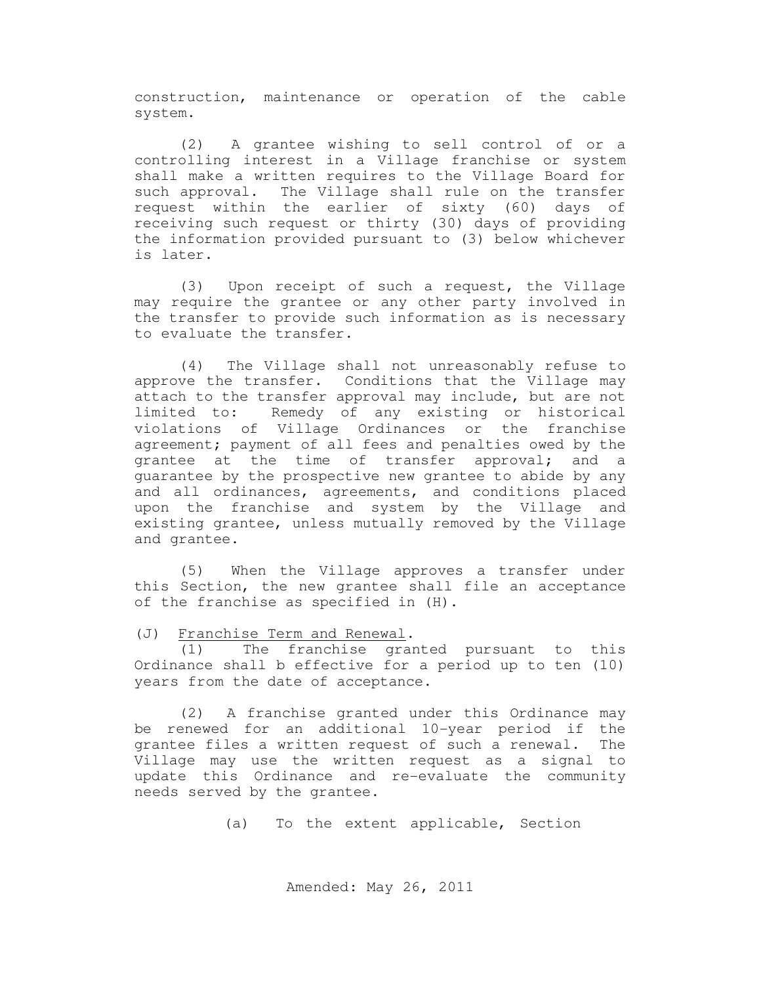construction, maintenance or operation of the cable system.

(2) A grantee wishing to sell control of or a controlling interest in a Village franchise or system shall make a written requires to the Village Board for such approval. The Village shall rule on the transfer request within the earlier of sixty (60) days of receiving such request or thirty (30) days of providing the information provided pursuant to (3) below whichever is later.

(3) Upon receipt of such a request, the Village may require the grantee or any other party involved in the transfer to provide such information as is necessary to evaluate the transfer.

(4) The Village shall not unreasonably refuse to approve the transfer. Conditions that the Village may attach to the transfer approval may include, but are not limited to: Remedy of any existing or historical violations of Village Ordinances or the franchise agreement; payment of all fees and penalties owed by the grantee at the time of transfer approval; and a guarantee by the prospective new grantee to abide by any and all ordinances, agreements, and conditions placed upon the franchise and system by the Village and existing grantee, unless mutually removed by the Village and grantee.

(5) When the Village approves a transfer under this Section, the new grantee shall file an acceptance of the franchise as specified in (H).

(J) Franchise Term and Renewal.

(1) The franchise granted pursuant to this Ordinance shall b effective for a period up to ten (10) years from the date of acceptance.

(2) A franchise granted under this Ordinance may be renewed for an additional 10-year period if the grantee files a written request of such a renewal. The Village may use the written request as a signal to update this Ordinance and re-evaluate the community needs served by the grantee.

(a) To the extent applicable, Section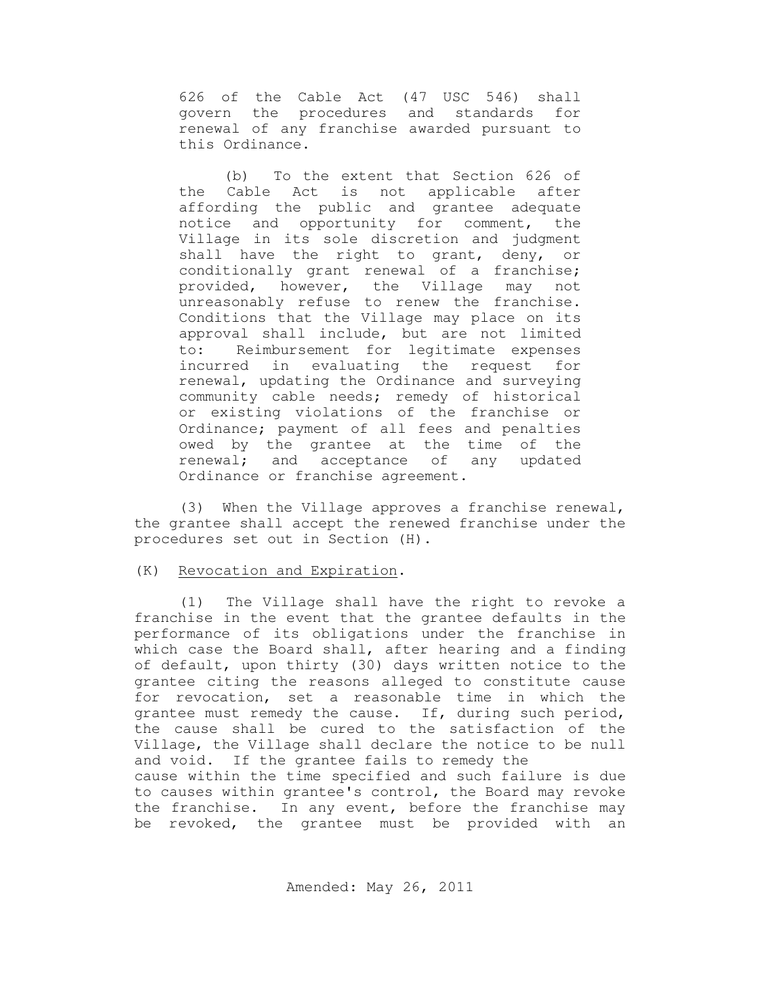626 of the Cable Act (47 USC 546) shall govern the procedures and standards for renewal of any franchise awarded pursuant to this Ordinance.

(b) To the extent that Section 626 of the Cable Act is not applicable after affording the public and grantee adequate notice and opportunity for comment, the Village in its sole discretion and judgment shall have the right to grant, deny, or conditionally grant renewal of a franchise; provided, however, the Village may not unreasonably refuse to renew the franchise. Conditions that the Village may place on its approval shall include, but are not limited to: Reimbursement for legitimate expenses incurred in evaluating the request for renewal, updating the Ordinance and surveying community cable needs; remedy of historical or existing violations of the franchise or Ordinance; payment of all fees and penalties owed by the grantee at the time of the renewal; and acceptance of any updated Ordinance or franchise agreement.

(3) When the Village approves a franchise renewal, the grantee shall accept the renewed franchise under the procedures set out in Section (H).

#### (K) Revocation and Expiration.

(1) The Village shall have the right to revoke a franchise in the event that the grantee defaults in the performance of its obligations under the franchise in which case the Board shall, after hearing and a finding of default, upon thirty (30) days written notice to the grantee citing the reasons alleged to constitute cause for revocation, set a reasonable time in which the grantee must remedy the cause. If, during such period, the cause shall be cured to the satisfaction of the Village, the Village shall declare the notice to be null and void. If the grantee fails to remedy the cause within the time specified and such failure is due to causes within grantee's control, the Board may revoke the franchise. In any event, before the franchise may be revoked, the grantee must be provided with an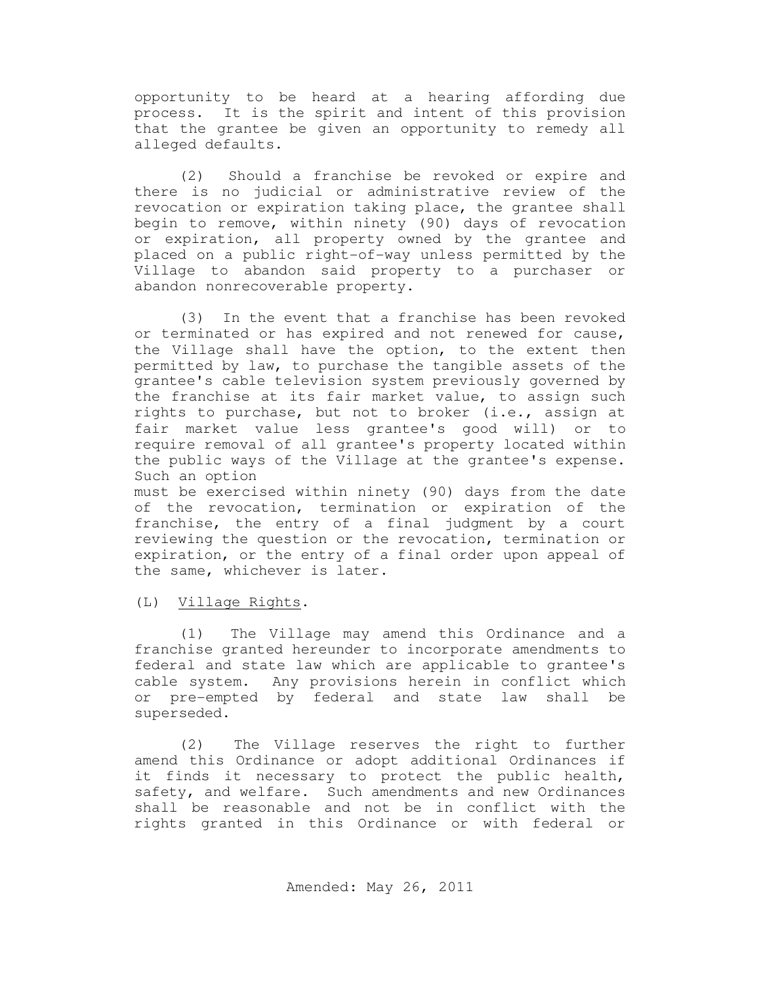opportunity to be heard at a hearing affording due process. It is the spirit and intent of this provision that the grantee be given an opportunity to remedy all alleged defaults.

(2) Should a franchise be revoked or expire and there is no judicial or administrative review of the revocation or expiration taking place, the grantee shall begin to remove, within ninety (90) days of revocation or expiration, all property owned by the grantee and placed on a public right-of-way unless permitted by the Village to abandon said property to a purchaser or abandon nonrecoverable property.

(3) In the event that a franchise has been revoked or terminated or has expired and not renewed for cause, the Village shall have the option, to the extent then permitted by law, to purchase the tangible assets of the grantee's cable television system previously governed by the franchise at its fair market value, to assign such rights to purchase, but not to broker (i.e., assign at fair market value less grantee's good will) or to require removal of all grantee's property located within the public ways of the Village at the grantee's expense. Such an option

must be exercised within ninety (90) days from the date of the revocation, termination or expiration of the franchise, the entry of a final judgment by a court reviewing the question or the revocation, termination or expiration, or the entry of a final order upon appeal of the same, whichever is later.

(L) Village Rights.

(1) The Village may amend this Ordinance and a franchise granted hereunder to incorporate amendments to federal and state law which are applicable to grantee's cable system. Any provisions herein in conflict which or pre-empted by federal and state law shall be superseded.

(2) The Village reserves the right to further amend this Ordinance or adopt additional Ordinances if it finds it necessary to protect the public health, safety, and welfare. Such amendments and new Ordinances shall be reasonable and not be in conflict with the rights granted in this Ordinance or with federal or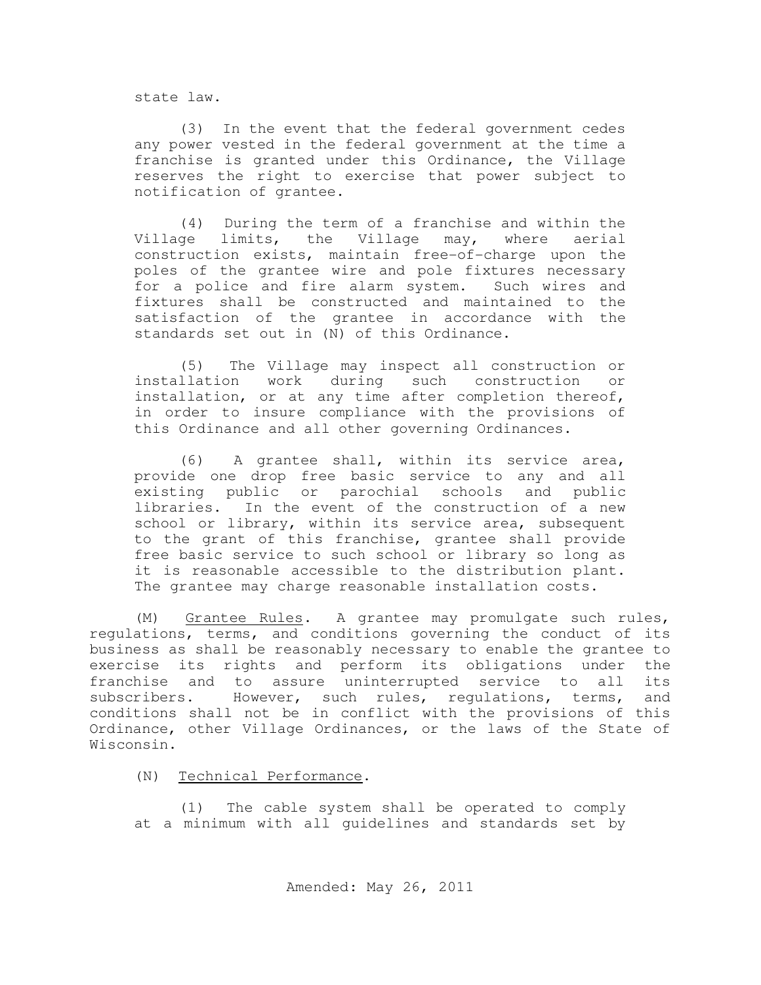state law.

(3) In the event that the federal government cedes any power vested in the federal government at the time a franchise is granted under this Ordinance, the Village reserves the right to exercise that power subject to notification of grantee.

(4) During the term of a franchise and within the Village limits, the Village may, where aerial construction exists, maintain free-of-charge upon the poles of the grantee wire and pole fixtures necessary for a police and fire alarm system. Such wires and fixtures shall be constructed and maintained to the satisfaction of the grantee in accordance with the standards set out in (N) of this Ordinance.

(5) The Village may inspect all construction or installation work during such construction or installation, or at any time after completion thereof, in order to insure compliance with the provisions of this Ordinance and all other governing Ordinances.

(6) A grantee shall, within its service area, provide one drop free basic service to any and all existing public or parochial schools and public libraries. In the event of the construction of a new school or library, within its service area, subsequent to the grant of this franchise, grantee shall provide free basic service to such school or library so long as it is reasonable accessible to the distribution plant. The grantee may charge reasonable installation costs.

(M) Grantee Rules. A grantee may promulgate such rules, regulations, terms, and conditions governing the conduct of its business as shall be reasonably necessary to enable the grantee to exercise its rights and perform its obligations under the franchise and to assure uninterrupted service to all its subscribers. However, such rules, regulations, terms, and conditions shall not be in conflict with the provisions of this Ordinance, other Village Ordinances, or the laws of the State of Wisconsin.

(N) Technical Performance.

(1) The cable system shall be operated to comply at a minimum with all guidelines and standards set by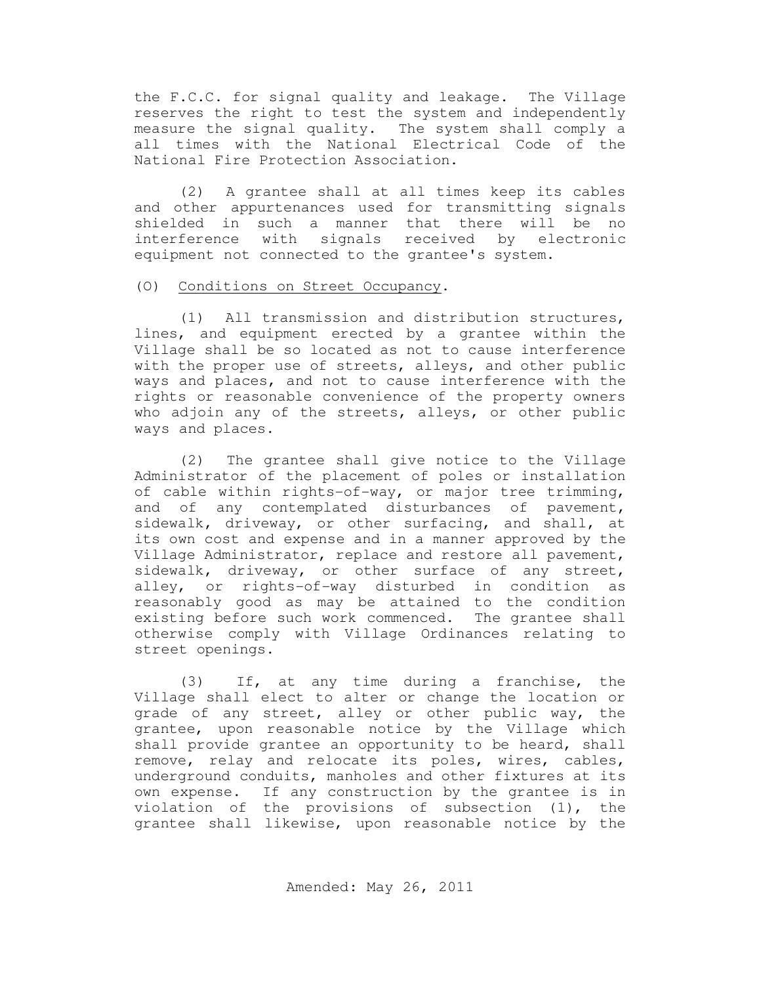the F.C.C. for signal quality and leakage. The Village reserves the right to test the system and independently measure the signal quality. The system shall comply a all times with the National Electrical Code of the National Fire Protection Association.

(2) A grantee shall at all times keep its cables and other appurtenances used for transmitting signals shielded in such a manner that there will be no interference with signals received by electronic equipment not connected to the grantee's system.

### (O) Conditions on Street Occupancy.

(1) All transmission and distribution structures, lines, and equipment erected by a grantee within the Village shall be so located as not to cause interference with the proper use of streets, alleys, and other public ways and places, and not to cause interference with the rights or reasonable convenience of the property owners who adjoin any of the streets, alleys, or other public ways and places.

(2) The grantee shall give notice to the Village Administrator of the placement of poles or installation of cable within rights-of-way, or major tree trimming, and of any contemplated disturbances of pavement, sidewalk, driveway, or other surfacing, and shall, at its own cost and expense and in a manner approved by the Village Administrator, replace and restore all pavement, sidewalk, driveway, or other surface of any street, alley, or rights-of-way disturbed in condition as reasonably good as may be attained to the condition existing before such work commenced. The grantee shall otherwise comply with Village Ordinances relating to street openings.

(3) If, at any time during a franchise, the Village shall elect to alter or change the location or grade of any street, alley or other public way, the grantee, upon reasonable notice by the Village which shall provide grantee an opportunity to be heard, shall remove, relay and relocate its poles, wires, cables, underground conduits, manholes and other fixtures at its own expense. If any construction by the grantee is in violation of the provisions of subsection (1), the grantee shall likewise, upon reasonable notice by the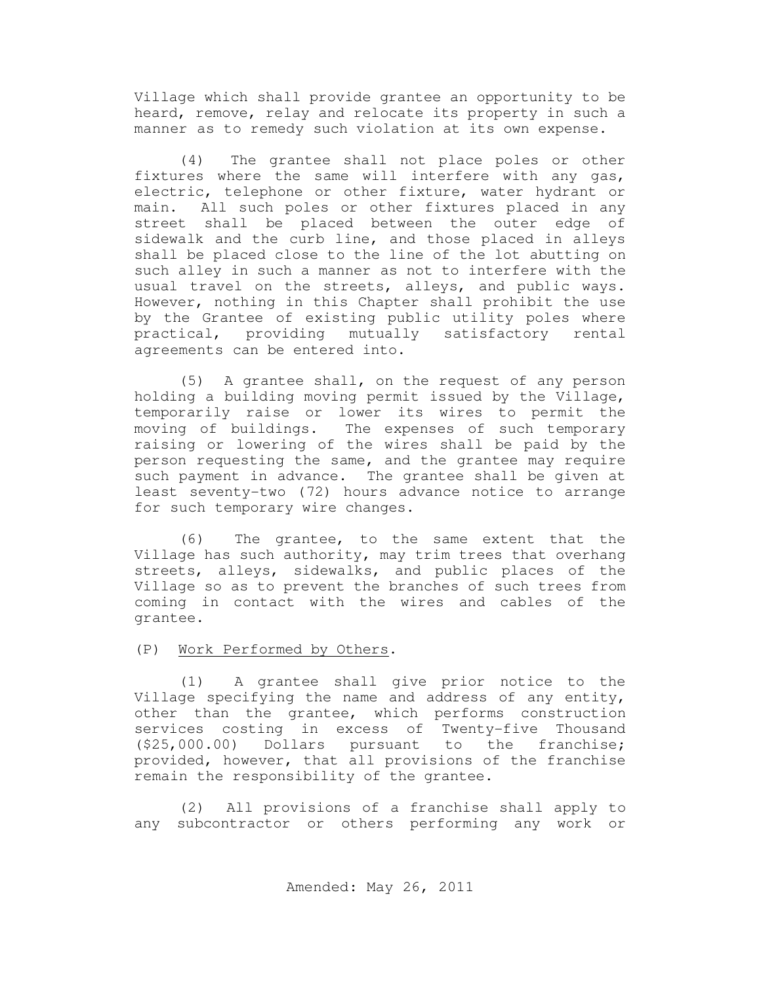Village which shall provide grantee an opportunity to be heard, remove, relay and relocate its property in such a manner as to remedy such violation at its own expense.

(4) The grantee shall not place poles or other fixtures where the same will interfere with any gas, electric, telephone or other fixture, water hydrant or main. All such poles or other fixtures placed in any street shall be placed between the outer edge of sidewalk and the curb line, and those placed in alleys shall be placed close to the line of the lot abutting on such alley in such a manner as not to interfere with the usual travel on the streets, alleys, and public ways. However, nothing in this Chapter shall prohibit the use by the Grantee of existing public utility poles where practical, providing mutually satisfactory rental agreements can be entered into.

(5) A grantee shall, on the request of any person holding a building moving permit issued by the Village, temporarily raise or lower its wires to permit the moving of buildings. The expenses of such temporary raising or lowering of the wires shall be paid by the person requesting the same, and the grantee may require such payment in advance. The grantee shall be given at least seventy-two (72) hours advance notice to arrange for such temporary wire changes.

(6) The grantee, to the same extent that the Village has such authority, may trim trees that overhang streets, alleys, sidewalks, and public places of the Village so as to prevent the branches of such trees from coming in contact with the wires and cables of the grantee.

### (P) Work Performed by Others.

(1) A grantee shall give prior notice to the Village specifying the name and address of any entity, other than the grantee, which performs construction services costing in excess of Twenty-five Thousand (\$25,000.00) Dollars pursuant to the franchise; provided, however, that all provisions of the franchise remain the responsibility of the grantee.

(2) All provisions of a franchise shall apply to any subcontractor or others performing any work or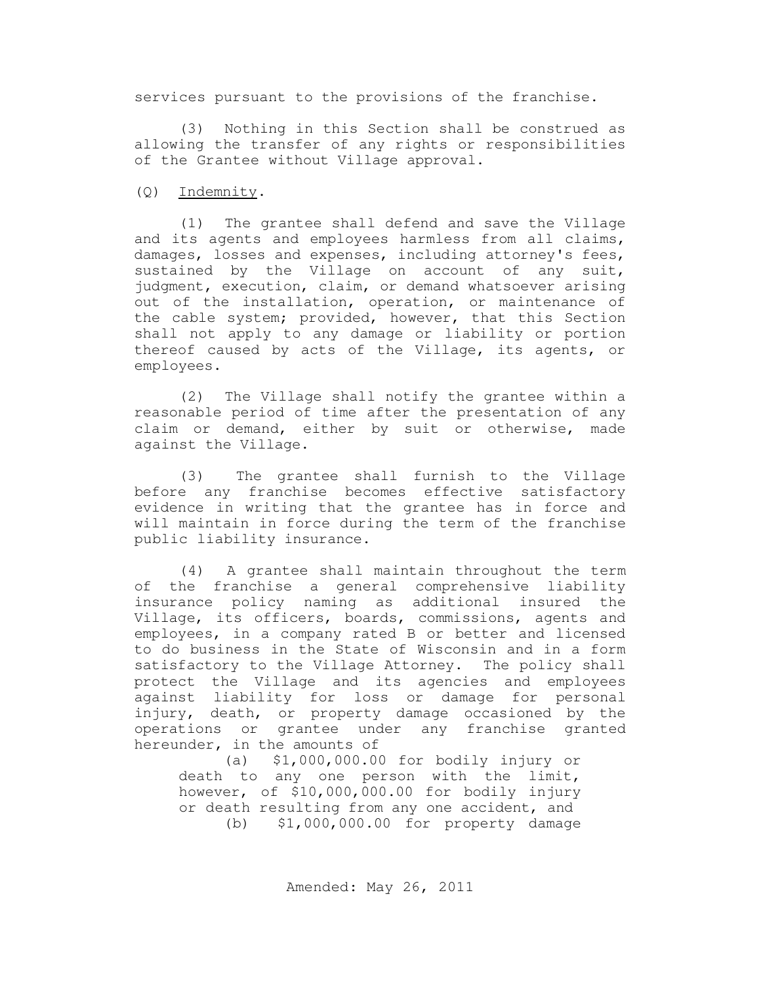services pursuant to the provisions of the franchise.

(3) Nothing in this Section shall be construed as allowing the transfer of any rights or responsibilities of the Grantee without Village approval.

(Q) Indemnity.

(1) The grantee shall defend and save the Village and its agents and employees harmless from all claims, damages, losses and expenses, including attorney's fees, sustained by the Village on account of any suit, judgment, execution, claim, or demand whatsoever arising out of the installation, operation, or maintenance of the cable system; provided, however, that this Section shall not apply to any damage or liability or portion thereof caused by acts of the Village, its agents, or employees.

(2) The Village shall notify the grantee within a reasonable period of time after the presentation of any claim or demand, either by suit or otherwise, made against the Village.

(3) The grantee shall furnish to the Village before any franchise becomes effective satisfactory evidence in writing that the grantee has in force and will maintain in force during the term of the franchise public liability insurance.

(4) A grantee shall maintain throughout the term of the franchise a general comprehensive liability insurance policy naming as additional insured the Village, its officers, boards, commissions, agents and employees, in a company rated B or better and licensed to do business in the State of Wisconsin and in a form satisfactory to the Village Attorney. The policy shall protect the Village and its agencies and employees against liability for loss or damage for personal injury, death, or property damage occasioned by the operations or grantee under any franchise granted hereunder, in the amounts of

(a) \$1,000,000.00 for bodily injury or death to any one person with the limit, however, of \$10,000,000.00 for bodily injury or death resulting from any one accident, and (b) \$1,000,000.00 for property damage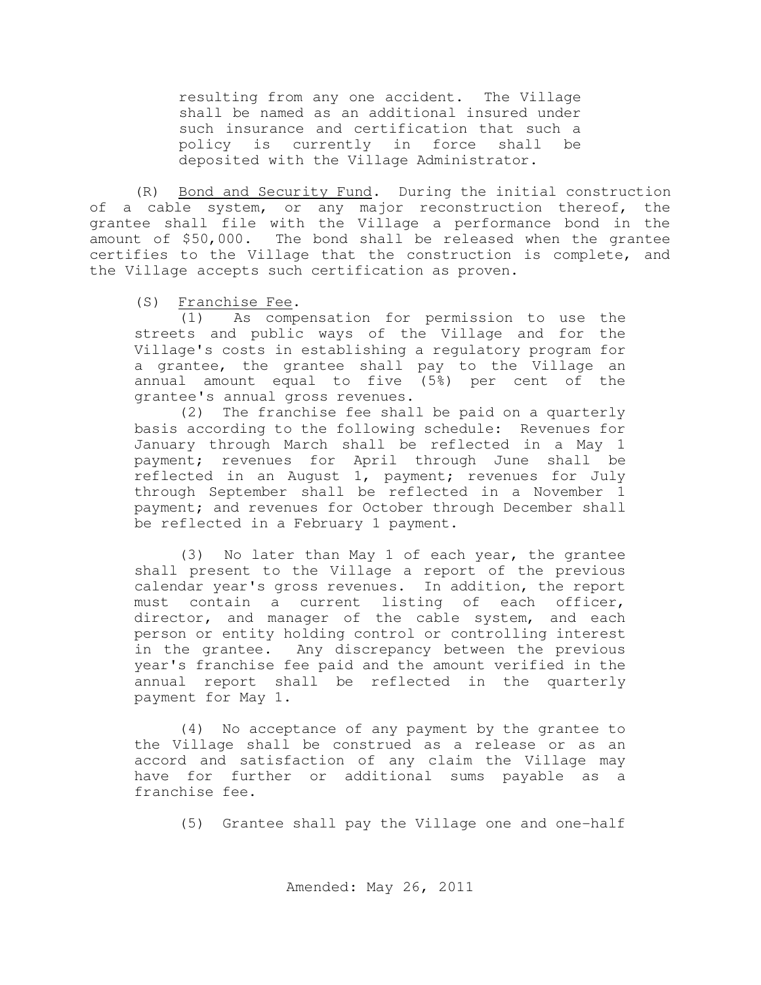resulting from any one accident. The Village shall be named as an additional insured under such insurance and certification that such a policy is currently in force shall be deposited with the Village Administrator.

(R) Bond and Security Fund. During the initial construction of a cable system, or any major reconstruction thereof, the grantee shall file with the Village a performance bond in the amount of \$50,000. The bond shall be released when the grantee certifies to the Village that the construction is complete, and the Village accepts such certification as proven.

(S) Franchise Fee.

(1) As compensation for permission to use the streets and public ways of the Village and for the Village's costs in establishing a regulatory program for a grantee, the grantee shall pay to the Village an annual amount equal to five (5%) per cent of the grantee's annual gross revenues.

(2) The franchise fee shall be paid on a quarterly basis according to the following schedule: Revenues for January through March shall be reflected in a May 1 payment; revenues for April through June shall be reflected in an August 1, payment; revenues for July through September shall be reflected in a November 1 payment; and revenues for October through December shall be reflected in a February 1 payment.

(3) No later than May 1 of each year, the grantee shall present to the Village a report of the previous calendar year's gross revenues. In addition, the report must contain a current listing of each officer, director, and manager of the cable system, and each person or entity holding control or controlling interest in the grantee. Any discrepancy between the previous year's franchise fee paid and the amount verified in the annual report shall be reflected in the quarterly payment for May 1.

(4) No acceptance of any payment by the grantee to the Village shall be construed as a release or as an accord and satisfaction of any claim the Village may have for further or additional sums payable as a franchise fee.

(5) Grantee shall pay the Village one and one-half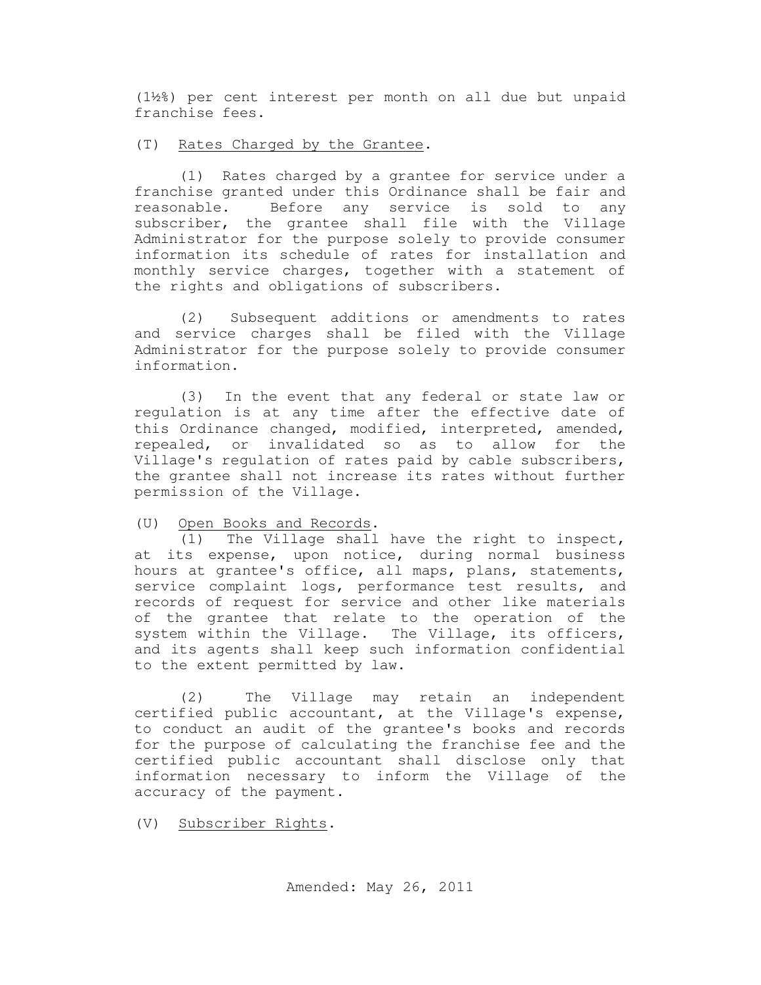(1½%) per cent interest per month on all due but unpaid franchise fees.

### (T) Rates Charged by the Grantee.

(1) Rates charged by a grantee for service under a franchise granted under this Ordinance shall be fair and reasonable. Before any service is sold to any subscriber, the grantee shall file with the Village Administrator for the purpose solely to provide consumer information its schedule of rates for installation and monthly service charges, together with a statement of the rights and obligations of subscribers.

(2) Subsequent additions or amendments to rates and service charges shall be filed with the Village Administrator for the purpose solely to provide consumer information.

(3) In the event that any federal or state law or regulation is at any time after the effective date of this Ordinance changed, modified, interpreted, amended, repealed, or invalidated so as to allow for the Village's regulation of rates paid by cable subscribers, the grantee shall not increase its rates without further permission of the Village.

### (U) Open Books and Records.

(1) The Village shall have the right to inspect, at its expense, upon notice, during normal business hours at grantee's office, all maps, plans, statements, service complaint logs, performance test results, and records of request for service and other like materials of the grantee that relate to the operation of the system within the Village. The Village, its officers, and its agents shall keep such information confidential to the extent permitted by law.

(2) The Village may retain an independent certified public accountant, at the Village's expense, to conduct an audit of the grantee's books and records for the purpose of calculating the franchise fee and the certified public accountant shall disclose only that information necessary to inform the Village of the accuracy of the payment.

(V) Subscriber Rights.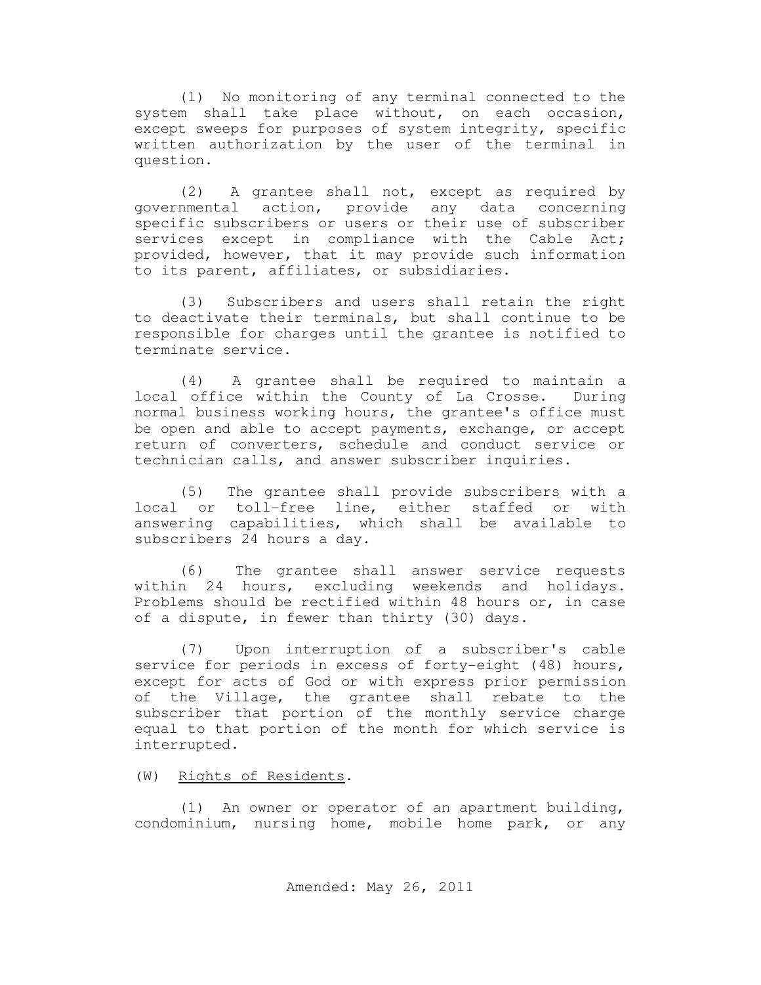(1) No monitoring of any terminal connected to the system shall take place without, on each occasion, except sweeps for purposes of system integrity, specific written authorization by the user of the terminal in question.

(2) A grantee shall not, except as required by governmental action, provide any data concerning specific subscribers or users or their use of subscriber services except in compliance with the Cable Act; provided, however, that it may provide such information to its parent, affiliates, or subsidiaries.

(3) Subscribers and users shall retain the right to deactivate their terminals, but shall continue to be responsible for charges until the grantee is notified to terminate service.

(4) A grantee shall be required to maintain a local office within the County of La Crosse. During normal business working hours, the grantee's office must be open and able to accept payments, exchange, or accept return of converters, schedule and conduct service or technician calls, and answer subscriber inquiries.

(5) The grantee shall provide subscribers with a local or toll-free line, either staffed or with answering capabilities, which shall be available to subscribers 24 hours a day.

(6) The grantee shall answer service requests within 24 hours, excluding weekends and holidays. Problems should be rectified within 48 hours or, in case of a dispute, in fewer than thirty (30) days.

(7) Upon interruption of a subscriber's cable service for periods in excess of forty-eight (48) hours, except for acts of God or with express prior permission of the Village, the grantee shall rebate to the subscriber that portion of the monthly service charge equal to that portion of the month for which service is interrupted.

(W) Rights of Residents.

(1) An owner or operator of an apartment building, condominium, nursing home, mobile home park, or any

Amended: May 26, 2011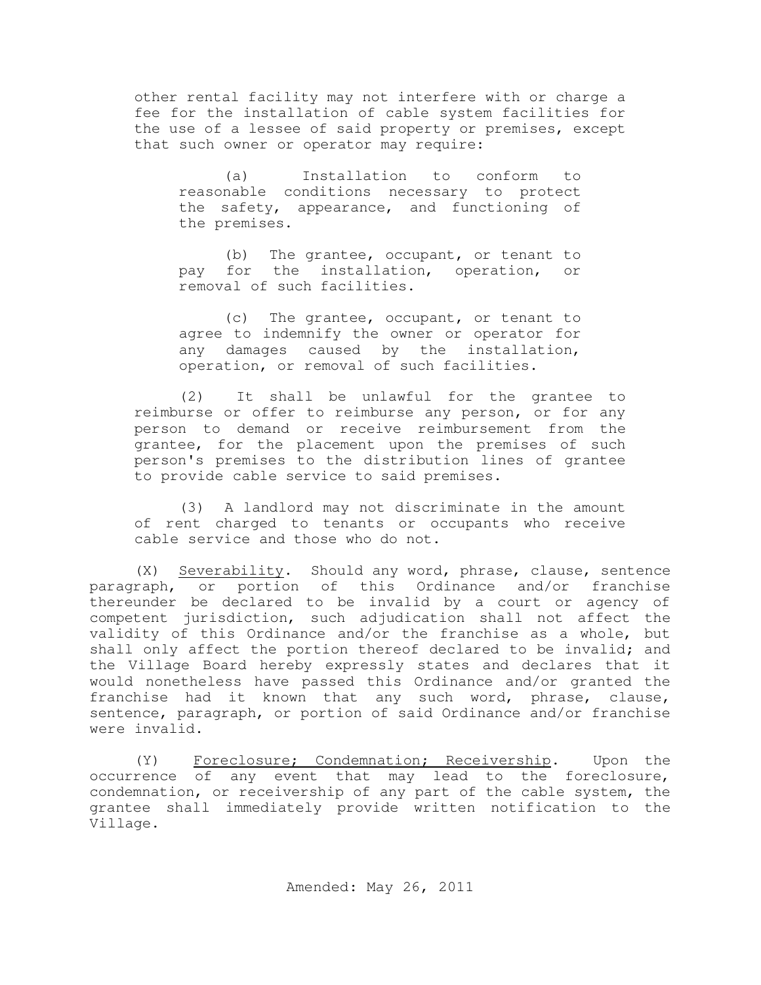other rental facility may not interfere with or charge a fee for the installation of cable system facilities for the use of a lessee of said property or premises, except that such owner or operator may require:

(a) Installation to conform to reasonable conditions necessary to protect the safety, appearance, and functioning of the premises.

(b) The grantee, occupant, or tenant to pay for the installation, operation, or removal of such facilities.

(c) The grantee, occupant, or tenant to agree to indemnify the owner or operator for any damages caused by the installation, operation, or removal of such facilities.

(2) It shall be unlawful for the grantee to reimburse or offer to reimburse any person, or for any person to demand or receive reimbursement from the grantee, for the placement upon the premises of such person's premises to the distribution lines of grantee to provide cable service to said premises.

(3) A landlord may not discriminate in the amount of rent charged to tenants or occupants who receive cable service and those who do not.

(X) Severability. Should any word, phrase, clause, sentence paragraph, or portion of this Ordinance and/or franchise thereunder be declared to be invalid by a court or agency of competent jurisdiction, such adjudication shall not affect the validity of this Ordinance and/or the franchise as a whole, but shall only affect the portion thereof declared to be invalid; and the Village Board hereby expressly states and declares that it would nonetheless have passed this Ordinance and/or granted the franchise had it known that any such word, phrase, clause, sentence, paragraph, or portion of said Ordinance and/or franchise were invalid.

(Y) Foreclosure; Condemnation; Receivership. Upon the occurrence of any event that may lead to the foreclosure, condemnation, or receivership of any part of the cable system, the grantee shall immediately provide written notification to the Village.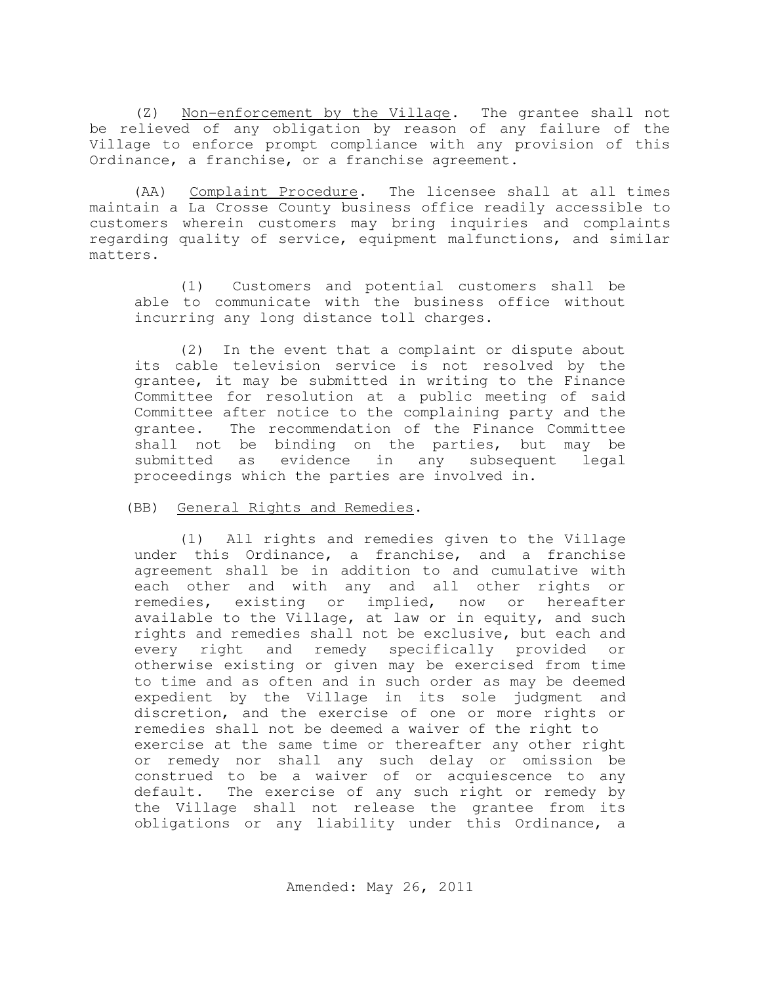(Z) Non-enforcement by the Village. The grantee shall not be relieved of any obligation by reason of any failure of the Village to enforce prompt compliance with any provision of this Ordinance, a franchise, or a franchise agreement.

 (AA) Complaint Procedure. The licensee shall at all times maintain a La Crosse County business office readily accessible to customers wherein customers may bring inquiries and complaints regarding quality of service, equipment malfunctions, and similar matters.

(1) Customers and potential customers shall be able to communicate with the business office without incurring any long distance toll charges.

(2) In the event that a complaint or dispute about its cable television service is not resolved by the grantee, it may be submitted in writing to the Finance Committee for resolution at a public meeting of said Committee after notice to the complaining party and the grantee. The recommendation of the Finance Committee shall not be binding on the parties, but may be submitted as evidence in any subsequent legal proceedings which the parties are involved in.

#### (BB) General Rights and Remedies.

(1) All rights and remedies given to the Village under this Ordinance, a franchise, and a franchise agreement shall be in addition to and cumulative with each other and with any and all other rights or remedies, existing or implied, now or hereafter available to the Village, at law or in equity, and such rights and remedies shall not be exclusive, but each and every right and remedy specifically provided or otherwise existing or given may be exercised from time to time and as often and in such order as may be deemed expedient by the Village in its sole judgment and discretion, and the exercise of one or more rights or remedies shall not be deemed a waiver of the right to exercise at the same time or thereafter any other right or remedy nor shall any such delay or omission be construed to be a waiver of or acquiescence to any default. The exercise of any such right or remedy by the Village shall not release the grantee from its obligations or any liability under this Ordinance, a